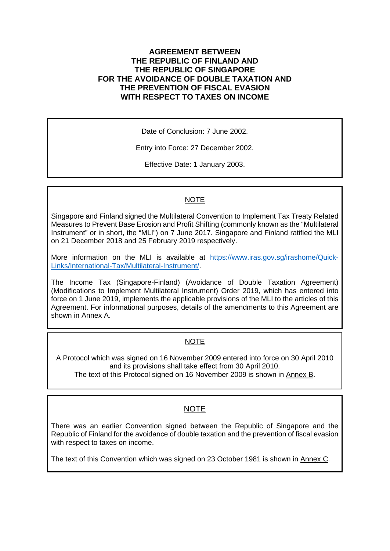### **AGREEMENT BETWEEN THE REPUBLIC OF FINLAND AND THE REPUBLIC OF SINGAPORE FOR THE AVOIDANCE OF DOUBLE TAXATION AND THE PREVENTION OF FISCAL EVASION WITH RESPECT TO TAXES ON INCOME**

Date of Conclusion: 7 June 2002.

Entry into Force: 27 December 2002.

Effective Date: 1 January 2003.

## NOTE

Singapore and Finland signed the Multilateral Convention to Implement Tax Treaty Related Measures to Prevent Base Erosion and Profit Shifting (commonly known as the "Multilateral Instrument" or in short, the "MLI") on 7 June 2017. Singapore and Finland ratified the MLI on 21 December 2018 and 25 February 2019 respectively.

More information on the MLI is available at [https://www.iras.gov.sg/irashome/Quick-](https://www.iras.gov.sg/irashome/Quick-Links/International-Tax/Multilateral-Instrument/)[Links/International-Tax/Multilateral-Instrument/.](https://www.iras.gov.sg/irashome/Quick-Links/International-Tax/Multilateral-Instrument/)

The Income Tax (Singapore-Finland) (Avoidance of Double Taxation Agreement) (Modifications to Implement Multilateral Instrument) Order 2019, which has entered into force on 1 June 2019, implements the applicable provisions of the MLI to the articles of this Agreement. For informational purposes, details of the amendments to this Agreement are shown in Annex A.

## NOTE

A Protocol which was signed on 16 November 2009 entered into force on 30 April 2010 and its provisions shall take effect from 30 April 2010. The text of this Protocol signed on 16 November 2009 is shown in Annex B.

## NOTE

There was an earlier Convention signed between the Republic of Singapore and the Republic of Finland for the avoidance of double taxation and the prevention of fiscal evasion with respect to taxes on income.

The text of this Convention which was signed on 23 October 1981 is shown in Annex C.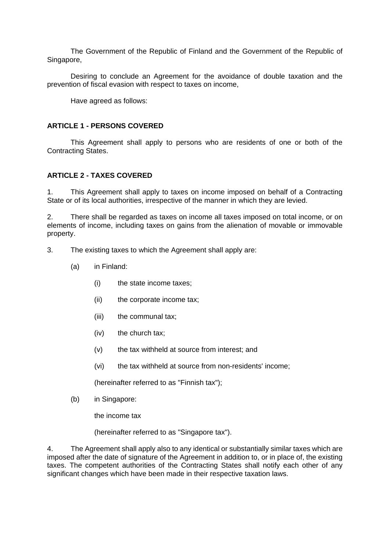The Government of the Republic of Finland and the Government of the Republic of Singapore,

Desiring to conclude an Agreement for the avoidance of double taxation and the prevention of fiscal evasion with respect to taxes on income,

Have agreed as follows:

#### **ARTICLE 1 - PERSONS COVERED**

This Agreement shall apply to persons who are residents of one or both of the Contracting States.

#### **ARTICLE 2 - TAXES COVERED**

1. This Agreement shall apply to taxes on income imposed on behalf of a Contracting State or of its local authorities, irrespective of the manner in which they are levied.

2. There shall be regarded as taxes on income all taxes imposed on total income, or on elements of income, including taxes on gains from the alienation of movable or immovable property.

- 3. The existing taxes to which the Agreement shall apply are:
	- (a) in Finland:
		- (i) the state income taxes;
		- (ii) the corporate income tax;
		- (iii) the communal tax;
		- (iv) the church tax;
		- (v) the tax withheld at source from interest; and
		- (vi) the tax withheld at source from non-residents' income;

(hereinafter referred to as "Finnish tax");

(b) in Singapore:

the income tax

(hereinafter referred to as "Singapore tax").

4. The Agreement shall apply also to any identical or substantially similar taxes which are imposed after the date of signature of the Agreement in addition to, or in place of, the existing taxes. The competent authorities of the Contracting States shall notify each other of any significant changes which have been made in their respective taxation laws.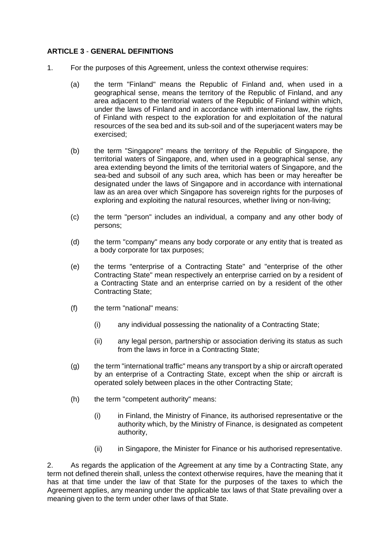#### **ARTICLE 3** - **GENERAL DEFINITIONS**

- 1. For the purposes of this Agreement, unless the context otherwise requires:
	- (a) the term "Finland" means the Republic of Finland and, when used in a geographical sense, means the territory of the Republic of Finland, and any area adjacent to the territorial waters of the Republic of Finland within which, under the laws of Finland and in accordance with international law, the rights of Finland with respect to the exploration for and exploitation of the natural resources of the sea bed and its sub-soil and of the superjacent waters may be exercised;
	- (b) the term "Singapore" means the territory of the Republic of Singapore, the territorial waters of Singapore, and, when used in a geographical sense, any area extending beyond the limits of the territorial waters of Singapore, and the sea-bed and subsoil of any such area, which has been or may hereafter be designated under the laws of Singapore and in accordance with international law as an area over which Singapore has sovereign rights for the purposes of exploring and exploiting the natural resources, whether living or non-living;
	- (c) the term "person" includes an individual, a company and any other body of persons;
	- (d) the term "company" means any body corporate or any entity that is treated as a body corporate for tax purposes;
	- (e) the terms "enterprise of a Contracting State" and "enterprise of the other Contracting State" mean respectively an enterprise carried on by a resident of a Contracting State and an enterprise carried on by a resident of the other Contracting State;
	- (f) the term "national" means:
		- (i) any individual possessing the nationality of a Contracting State;
		- (ii) any legal person, partnership or association deriving its status as such from the laws in force in a Contracting State;
	- (g) the term "international traffic" means any transport by a ship or aircraft operated by an enterprise of a Contracting State, except when the ship or aircraft is operated solely between places in the other Contracting State;
	- (h) the term "competent authority" means:
		- (i) in Finland, the Ministry of Finance, its authorised representative or the authority which, by the Ministry of Finance, is designated as competent authority,
		- (ii) in Singapore, the Minister for Finance or his authorised representative.

2. As regards the application of the Agreement at any time by a Contracting State, any term not defined therein shall, unless the context otherwise requires, have the meaning that it has at that time under the law of that State for the purposes of the taxes to which the Agreement applies, any meaning under the applicable tax laws of that State prevailing over a meaning given to the term under other laws of that State.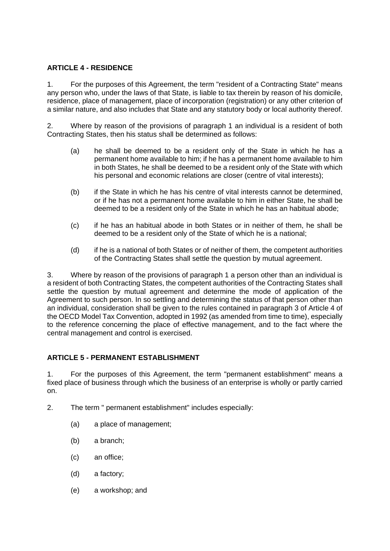#### **ARTICLE 4 - RESIDENCE**

1. For the purposes of this Agreement, the term "resident of a Contracting State" means any person who, under the laws of that State, is liable to tax therein by reason of his domicile, residence, place of management, place of incorporation (registration) or any other criterion of a similar nature, and also includes that State and any statutory body or local authority thereof.

2. Where by reason of the provisions of paragraph 1 an individual is a resident of both Contracting States, then his status shall be determined as follows:

- (a) he shall be deemed to be a resident only of the State in which he has a permanent home available to him; if he has a permanent home available to him in both States, he shall be deemed to be a resident only of the State with which his personal and economic relations are closer (centre of vital interests);
- (b) if the State in which he has his centre of vital interests cannot be determined, or if he has not a permanent home available to him in either State, he shall be deemed to be a resident only of the State in which he has an habitual abode;
- (c) if he has an habitual abode in both States or in neither of them, he shall be deemed to be a resident only of the State of which he is a national;
- (d) if he is a national of both States or of neither of them, the competent authorities of the Contracting States shall settle the question by mutual agreement.

3. Where by reason of the provisions of paragraph 1 a person other than an individual is a resident of both Contracting States, the competent authorities of the Contracting States shall settle the question by mutual agreement and determine the mode of application of the Agreement to such person. In so settling and determining the status of that person other than an individual, consideration shall be given to the rules contained in paragraph 3 of Article 4 of the OECD Model Tax Convention, adopted in 1992 (as amended from time to time), especially to the reference concerning the place of effective management, and to the fact where the central management and control is exercised.

#### **ARTICLE 5 - PERMANENT ESTABLISHMENT**

1. For the purposes of this Agreement, the term "permanent establishment" means a fixed place of business through which the business of an enterprise is wholly or partly carried on.

- 2. The term " permanent establishment" includes especially:
	- (a) a place of management;
	- (b) a branch;
	- (c) an office;
	- (d) a factory;
	- (e) a workshop; and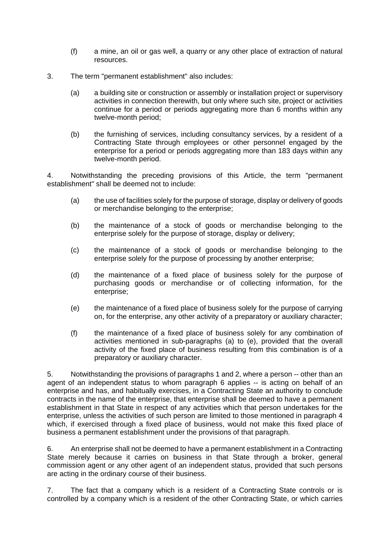- (f) a mine, an oil or gas well, a quarry or any other place of extraction of natural resources.
- 3. The term "permanent establishment" also includes:
	- (a) a building site or construction or assembly or installation project or supervisory activities in connection therewith, but only where such site, project or activities continue for a period or periods aggregating more than 6 months within any twelve-month period;
	- (b) the furnishing of services, including consultancy services, by a resident of a Contracting State through employees or other personnel engaged by the enterprise for a period or periods aggregating more than 183 days within any twelve-month period.

4. Notwithstanding the preceding provisions of this Article, the term "permanent establishment" shall be deemed not to include:

- (a) the use of facilities solely for the purpose of storage, display or delivery of goods or merchandise belonging to the enterprise;
- (b) the maintenance of a stock of goods or merchandise belonging to the enterprise solely for the purpose of storage, display or delivery;
- (c) the maintenance of a stock of goods or merchandise belonging to the enterprise solely for the purpose of processing by another enterprise;
- (d) the maintenance of a fixed place of business solely for the purpose of purchasing goods or merchandise or of collecting information, for the enterprise;
- (e) the maintenance of a fixed place of business solely for the purpose of carrying on, for the enterprise, any other activity of a preparatory or auxiliary character;
- (f) the maintenance of a fixed place of business solely for any combination of activities mentioned in sub-paragraphs (a) to (e), provided that the overall activity of the fixed place of business resulting from this combination is of a preparatory or auxiliary character.

5. Notwithstanding the provisions of paragraphs 1 and 2, where a person -- other than an agent of an independent status to whom paragraph 6 applies -- is acting on behalf of an enterprise and has, and habitually exercises, in a Contracting State an authority to conclude contracts in the name of the enterprise, that enterprise shall be deemed to have a permanent establishment in that State in respect of any activities which that person undertakes for the enterprise, unless the activities of such person are limited to those mentioned in paragraph 4 which, if exercised through a fixed place of business, would not make this fixed place of business a permanent establishment under the provisions of that paragraph.

6. An enterprise shall not be deemed to have a permanent establishment in a Contracting State merely because it carries on business in that State through a broker, general commission agent or any other agent of an independent status, provided that such persons are acting in the ordinary course of their business.

7. The fact that a company which is a resident of a Contracting State controls or is controlled by a company which is a resident of the other Contracting State, or which carries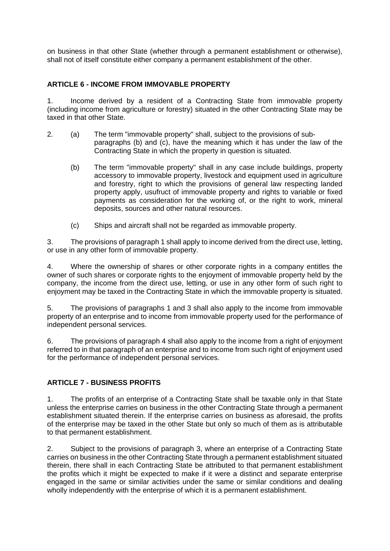on business in that other State (whether through a permanent establishment or otherwise), shall not of itself constitute either company a permanent establishment of the other.

#### **ARTICLE 6 - INCOME FROM IMMOVABLE PROPERTY**

1. Income derived by a resident of a Contracting State from immovable property (including income from agriculture or forestry) situated in the other Contracting State may be taxed in that other State.

- 2. (a) The term "immovable property" shall, subject to the provisions of subparagraphs (b) and (c), have the meaning which it has under the law of the Contracting State in which the property in question is situated.
	- (b) The term "immovable property" shall in any case include buildings, property accessory to immovable property, livestock and equipment used in agriculture and forestry, right to which the provisions of general law respecting landed property apply, usufruct of immovable property and rights to variable or fixed payments as consideration for the working of, or the right to work, mineral deposits, sources and other natural resources.
	- (c) Ships and aircraft shall not be regarded as immovable property.

3. The provisions of paragraph 1 shall apply to income derived from the direct use, letting, or use in any other form of immovable property.

4. Where the ownership of shares or other corporate rights in a company entitles the owner of such shares or corporate rights to the enjoyment of immovable property held by the company, the income from the direct use, letting, or use in any other form of such right to enjoyment may be taxed in the Contracting State in which the immovable property is situated.

5. The provisions of paragraphs 1 and 3 shall also apply to the income from immovable property of an enterprise and to income from immovable property used for the performance of independent personal services.

6. The provisions of paragraph 4 shall also apply to the income from a right of enjoyment referred to in that paragraph of an enterprise and to income from such right of enjoyment used for the performance of independent personal services.

## **ARTICLE 7 - BUSINESS PROFITS**

1. The profits of an enterprise of a Contracting State shall be taxable only in that State unless the enterprise carries on business in the other Contracting State through a permanent establishment situated therein. If the enterprise carries on business as aforesaid, the profits of the enterprise may be taxed in the other State but only so much of them as is attributable to that permanent establishment.

2. Subject to the provisions of paragraph 3, where an enterprise of a Contracting State carries on business in the other Contracting State through a permanent establishment situated therein, there shall in each Contracting State be attributed to that permanent establishment the profits which it might be expected to make if it were a distinct and separate enterprise engaged in the same or similar activities under the same or similar conditions and dealing wholly independently with the enterprise of which it is a permanent establishment.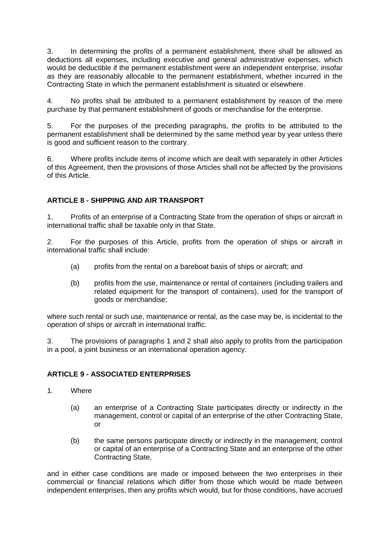3. In determining the profits of a permanent establishment, there shall be allowed as deductions all expenses, including executive and general administrative expenses, which would be deductible if the permanent establishment were an independent enterprise, insofar as they are reasonably allocable to the permanent establishment, whether incurred in the Contracting State in which the permanent establishment is situated or elsewhere.

4. No profits shall be attributed to a permanent establishment by reason of the mere purchase by that permanent establishment of goods or merchandise for the enterprise.

5. For the purposes of the preceding paragraphs, the profits to be attributed to the permanent establishment shall be determined by the same method year by year unless there is good and sufficient reason to the contrary.

6. Where profits include items of income which are dealt with separately in other Articles of this Agreement, then the provisions of those Articles shall not be affected by the provisions of this Article.

## **ARTICLE 8 - SHIPPING AND AIR TRANSPORT**

1. Profits of an enterprise of a Contracting State from the operation of ships or aircraft in international traffic shall be taxable only in that State.

2. For the purposes of this Article, profits from the operation of ships or aircraft in international traffic shall include:

- (a) profits from the rental on a bareboat basis of ships or aircraft; and
- (b) profits from the use, maintenance or rental of containers (including trailers and related equipment for the transport of containers), used for the transport of goods or merchandise;

where such rental or such use, maintenance or rental, as the case may be, is incidental to the operation of ships or aircraft in international traffic.

3. The provisions of paragraphs 1 and 2 shall also apply to profits from the participation in a pool, a joint business or an international operation agency.

#### **ARTICLE 9 - ASSOCIATED ENTERPRISES**

- 1. Where
	- (a) an enterprise of a Contracting State participates directly or indirectly in the management, control or capital of an enterprise of the other Contracting State, or
	- (b) the same persons participate directly or indirectly in the management, control or capital of an enterprise of a Contracting State and an enterprise of the other Contracting State,

and in either case conditions are made or imposed between the two enterprises in their commercial or financial relations which differ from those which would be made between independent enterprises, then any profits which would, but for those conditions, have accrued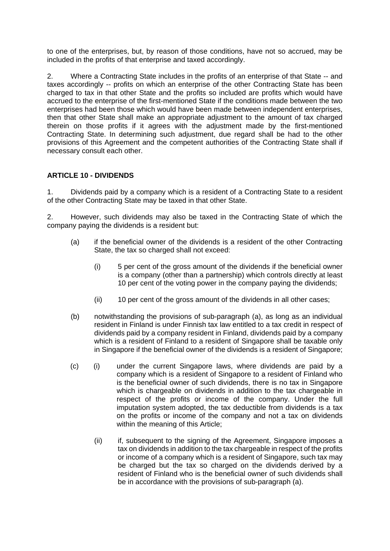to one of the enterprises, but, by reason of those conditions, have not so accrued, may be included in the profits of that enterprise and taxed accordingly.

2. Where a Contracting State includes in the profits of an enterprise of that State -- and taxes accordingly -- profits on which an enterprise of the other Contracting State has been charged to tax in that other State and the profits so included are profits which would have accrued to the enterprise of the first-mentioned State if the conditions made between the two enterprises had been those which would have been made between independent enterprises, then that other State shall make an appropriate adjustment to the amount of tax charged therein on those profits if it agrees with the adjustment made by the first-mentioned Contracting State. In determining such adjustment, due regard shall be had to the other provisions of this Agreement and the competent authorities of the Contracting State shall if necessary consult each other.

#### **ARTICLE 10 - DIVIDENDS**

1. Dividends paid by a company which is a resident of a Contracting State to a resident of the other Contracting State may be taxed in that other State.

2. However, such dividends may also be taxed in the Contracting State of which the company paying the dividends is a resident but:

- (a) if the beneficial owner of the dividends is a resident of the other Contracting State, the tax so charged shall not exceed:
	- (i) 5 per cent of the gross amount of the dividends if the beneficial owner is a company (other than a partnership) which controls directly at least 10 per cent of the voting power in the company paying the dividends;
	- (ii) 10 per cent of the gross amount of the dividends in all other cases;
- (b) notwithstanding the provisions of sub-paragraph (a), as long as an individual resident in Finland is under Finnish tax law entitled to a tax credit in respect of dividends paid by a company resident in Finland, dividends paid by a company which is a resident of Finland to a resident of Singapore shall be taxable only in Singapore if the beneficial owner of the dividends is a resident of Singapore;
- (c) (i) under the current Singapore laws, where dividends are paid by a company which is a resident of Singapore to a resident of Finland who is the beneficial owner of such dividends, there is no tax in Singapore which is chargeable on dividends in addition to the tax chargeable in respect of the profits or income of the company. Under the full imputation system adopted, the tax deductible from dividends is a tax on the profits or income of the company and not a tax on dividends within the meaning of this Article;
	- (ii) if, subsequent to the signing of the Agreement, Singapore imposes a tax on dividends in addition to the tax chargeable in respect of the profits or income of a company which is a resident of Singapore, such tax may be charged but the tax so charged on the dividends derived by a resident of Finland who is the beneficial owner of such dividends shall be in accordance with the provisions of sub-paragraph (a).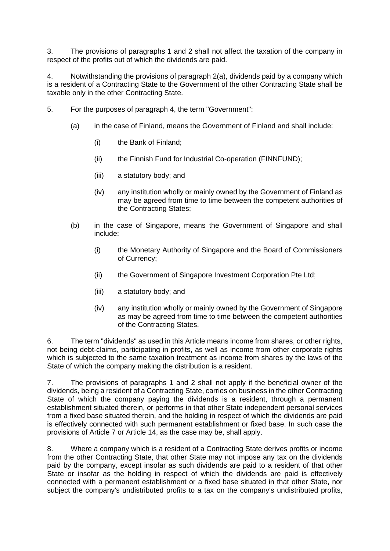3. The provisions of paragraphs 1 and 2 shall not affect the taxation of the company in respect of the profits out of which the dividends are paid.

4. Notwithstanding the provisions of paragraph 2(a), dividends paid by a company which is a resident of a Contracting State to the Government of the other Contracting State shall be taxable only in the other Contracting State.

- 5. For the purposes of paragraph 4, the term "Government":
	- (a) in the case of Finland, means the Government of Finland and shall include:
		- (i) the Bank of Finland;
		- (ii) the Finnish Fund for Industrial Co-operation (FINNFUND);
		- (iii) a statutory body; and
		- (iv) any institution wholly or mainly owned by the Government of Finland as may be agreed from time to time between the competent authorities of the Contracting States;
	- (b) in the case of Singapore, means the Government of Singapore and shall include:
		- (i) the Monetary Authority of Singapore and the Board of Commissioners of Currency;
		- (ii) the Government of Singapore Investment Corporation Pte Ltd;
		- (iii) a statutory body; and
		- (iv) any institution wholly or mainly owned by the Government of Singapore as may be agreed from time to time between the competent authorities of the Contracting States.

6. The term "dividends" as used in this Article means income from shares, or other rights, not being debt-claims, participating in profits, as well as income from other corporate rights which is subjected to the same taxation treatment as income from shares by the laws of the State of which the company making the distribution is a resident.

7. The provisions of paragraphs 1 and 2 shall not apply if the beneficial owner of the dividends, being a resident of a Contracting State, carries on business in the other Contracting State of which the company paying the dividends is a resident, through a permanent establishment situated therein, or performs in that other State independent personal services from a fixed base situated therein, and the holding in respect of which the dividends are paid is effectively connected with such permanent establishment or fixed base. In such case the provisions of Article 7 or Article 14, as the case may be, shall apply.

8. Where a company which is a resident of a Contracting State derives profits or income from the other Contracting State, that other State may not impose any tax on the dividends paid by the company, except insofar as such dividends are paid to a resident of that other State or insofar as the holding in respect of which the dividends are paid is effectively connected with a permanent establishment or a fixed base situated in that other State, nor subject the company's undistributed profits to a tax on the company's undistributed profits,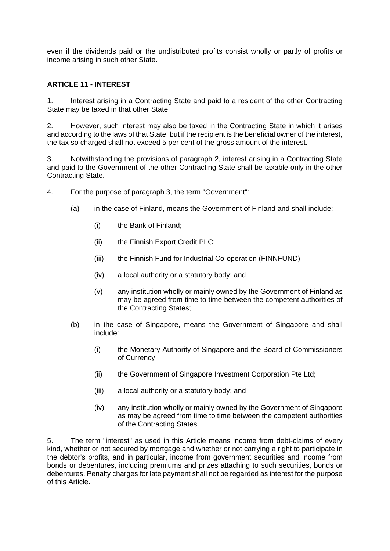even if the dividends paid or the undistributed profits consist wholly or partly of profits or income arising in such other State.

#### **ARTICLE 11 - INTEREST**

1. Interest arising in a Contracting State and paid to a resident of the other Contracting State may be taxed in that other State.

2. However, such interest may also be taxed in the Contracting State in which it arises and according to the laws of that State, but if the recipient is the beneficial owner of the interest, the tax so charged shall not exceed 5 per cent of the gross amount of the interest.

3. Notwithstanding the provisions of paragraph 2, interest arising in a Contracting State and paid to the Government of the other Contracting State shall be taxable only in the other Contracting State.

- 4. For the purpose of paragraph 3, the term "Government":
	- (a) in the case of Finland, means the Government of Finland and shall include:
		- (i) the Bank of Finland;
		- (ii) the Finnish Export Credit PLC;
		- (iii) the Finnish Fund for Industrial Co-operation (FINNFUND);
		- (iv) a local authority or a statutory body; and
		- (v) any institution wholly or mainly owned by the Government of Finland as may be agreed from time to time between the competent authorities of the Contracting States;
	- (b) in the case of Singapore, means the Government of Singapore and shall include:
		- (i) the Monetary Authority of Singapore and the Board of Commissioners of Currency;
		- (ii) the Government of Singapore Investment Corporation Pte Ltd;
		- (iii) a local authority or a statutory body; and
		- (iv) any institution wholly or mainly owned by the Government of Singapore as may be agreed from time to time between the competent authorities of the Contracting States.

5. The term "interest" as used in this Article means income from debt-claims of every kind, whether or not secured by mortgage and whether or not carrying a right to participate in the debtor's profits, and in particular, income from government securities and income from bonds or debentures, including premiums and prizes attaching to such securities, bonds or debentures. Penalty charges for late payment shall not be regarded as interest for the purpose of this Article.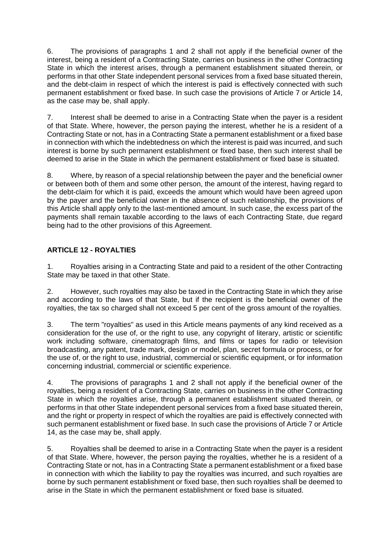6. The provisions of paragraphs 1 and 2 shall not apply if the beneficial owner of the interest, being a resident of a Contracting State, carries on business in the other Contracting State in which the interest arises, through a permanent establishment situated therein, or performs in that other State independent personal services from a fixed base situated therein, and the debt-claim in respect of which the interest is paid is effectively connected with such permanent establishment or fixed base. In such case the provisions of Article 7 or Article 14, as the case may be, shall apply.

7. Interest shall be deemed to arise in a Contracting State when the payer is a resident of that State. Where, however, the person paying the interest, whether he is a resident of a Contracting State or not, has in a Contracting State a permanent establishment or a fixed base in connection with which the indebtedness on which the interest is paid was incurred, and such interest is borne by such permanent establishment or fixed base, then such interest shall be deemed to arise in the State in which the permanent establishment or fixed base is situated.

8. Where, by reason of a special relationship between the payer and the beneficial owner or between both of them and some other person, the amount of the interest, having regard to the debt-claim for which it is paid, exceeds the amount which would have been agreed upon by the payer and the beneficial owner in the absence of such relationship, the provisions of this Article shall apply only to the last-mentioned amount. In such case, the excess part of the payments shall remain taxable according to the laws of each Contracting State, due regard being had to the other provisions of this Agreement.

## **ARTICLE 12 - ROYALTIES**

1. Royalties arising in a Contracting State and paid to a resident of the other Contracting State may be taxed in that other State.

2. However, such royalties may also be taxed in the Contracting State in which they arise and according to the laws of that State, but if the recipient is the beneficial owner of the royalties, the tax so charged shall not exceed 5 per cent of the gross amount of the royalties.

3. The term "royalties" as used in this Article means payments of any kind received as a consideration for the use of, or the right to use, any copyright of literary, artistic or scientific work including software, cinematograph films, and films or tapes for radio or television broadcasting, any patent, trade mark, design or model, plan, secret formula or process, or for the use of, or the right to use, industrial, commercial or scientific equipment, or for information concerning industrial, commercial or scientific experience.

4. The provisions of paragraphs 1 and 2 shall not apply if the beneficial owner of the royalties, being a resident of a Contracting State, carries on business in the other Contracting State in which the royalties arise, through a permanent establishment situated therein, or performs in that other State independent personal services from a fixed base situated therein, and the right or property in respect of which the royalties are paid is effectively connected with such permanent establishment or fixed base. In such case the provisions of Article 7 or Article 14, as the case may be, shall apply.

5. Royalties shall be deemed to arise in a Contracting State when the payer is a resident of that State. Where, however, the person paying the royalties, whether he is a resident of a Contracting State or not, has in a Contracting State a permanent establishment or a fixed base in connection with which the liability to pay the royalties was incurred, and such royalties are borne by such permanent establishment or fixed base, then such royalties shall be deemed to arise in the State in which the permanent establishment or fixed base is situated.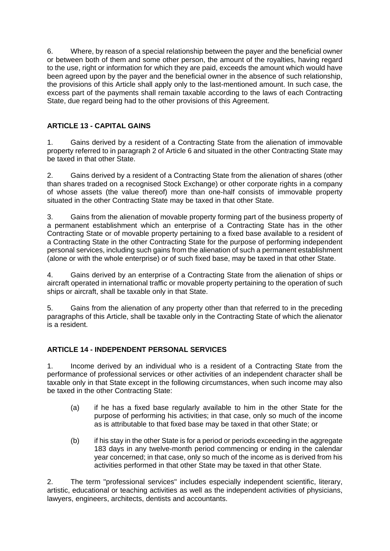6. Where, by reason of a special relationship between the payer and the beneficial owner or between both of them and some other person, the amount of the royalties, having regard to the use, right or information for which they are paid, exceeds the amount which would have been agreed upon by the payer and the beneficial owner in the absence of such relationship, the provisions of this Article shall apply only to the last-mentioned amount. In such case, the excess part of the payments shall remain taxable according to the laws of each Contracting State, due regard being had to the other provisions of this Agreement.

## **ARTICLE 13 - CAPITAL GAINS**

1. Gains derived by a resident of a Contracting State from the alienation of immovable property referred to in paragraph 2 of Article 6 and situated in the other Contracting State may be taxed in that other State.

2. Gains derived by a resident of a Contracting State from the alienation of shares (other than shares traded on a recognised Stock Exchange) or other corporate rights in a company of whose assets (the value thereof) more than one-half consists of immovable property situated in the other Contracting State may be taxed in that other State.

3. Gains from the alienation of movable property forming part of the business property of a permanent establishment which an enterprise of a Contracting State has in the other Contracting State or of movable property pertaining to a fixed base available to a resident of a Contracting State in the other Contracting State for the purpose of performing independent personal services, including such gains from the alienation of such a permanent establishment (alone or with the whole enterprise) or of such fixed base, may be taxed in that other State.

4. Gains derived by an enterprise of a Contracting State from the alienation of ships or aircraft operated in international traffic or movable property pertaining to the operation of such ships or aircraft, shall be taxable only in that State.

5. Gains from the alienation of any property other than that referred to in the preceding paragraphs of this Article, shall be taxable only in the Contracting State of which the alienator is a resident.

## **ARTICLE 14 - INDEPENDENT PERSONAL SERVICES**

1. Income derived by an individual who is a resident of a Contracting State from the performance of professional services or other activities of an independent character shall be taxable only in that State except in the following circumstances, when such income may also be taxed in the other Contracting State:

- (a) if he has a fixed base regularly available to him in the other State for the purpose of performing his activities; in that case, only so much of the income as is attributable to that fixed base may be taxed in that other State; or
- (b) if his stay in the other State is for a period or periods exceeding in the aggregate 183 days in any twelve-month period commencing or ending in the calendar year concerned; in that case, only so much of the income as is derived from his activities performed in that other State may be taxed in that other State.

2. The term "professional services" includes especially independent scientific, literary, artistic, educational or teaching activities as well as the independent activities of physicians, lawyers, engineers, architects, dentists and accountants.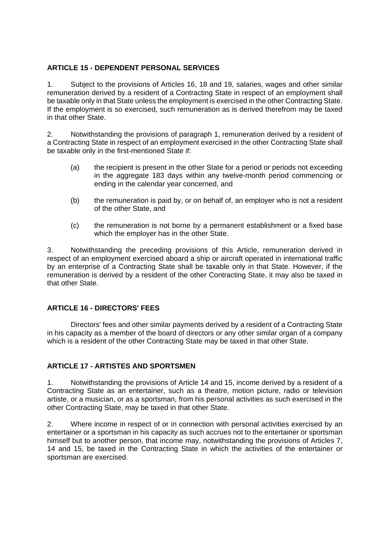#### **ARTICLE 15 - DEPENDENT PERSONAL SERVICES**

1. Subject to the provisions of Articles 16, 18 and 19, salaries, wages and other similar remuneration derived by a resident of a Contracting State in respect of an employment shall be taxable only in that State unless the employment is exercised in the other Contracting State. If the employment is so exercised, such remuneration as is derived therefrom may be taxed in that other State.

2. Notwithstanding the provisions of paragraph 1, remuneration derived by a resident of a Contracting State in respect of an employment exercised in the other Contracting State shall be taxable only in the first-mentioned State if:

- (a) the recipient is present in the other State for a period or periods not exceeding in the aggregate 183 days within any twelve-month period commencing or ending in the calendar year concerned, and
- (b) the remuneration is paid by, or on behalf of, an employer who is not a resident of the other State, and
- (c) the remuneration is not borne by a permanent establishment or a fixed base which the employer has in the other State.

3. Notwithstanding the preceding provisions of this Article, remuneration derived in respect of an employment exercised aboard a ship or aircraft operated in international traffic by an enterprise of a Contracting State shall be taxable only in that State. However, if the remuneration is derived by a resident of the other Contracting State, it may also be taxed in that other State.

#### **ARTICLE 16 - DIRECTORS' FEES**

Directors' fees and other similar payments derived by a resident of a Contracting State in his capacity as a member of the board of directors or any other similar organ of a company which is a resident of the other Contracting State may be taxed in that other State.

#### **ARTICLE 17 - ARTISTES AND SPORTSMEN**

1. Notwithstanding the provisions of Article 14 and 15, income derived by a resident of a Contracting State as an entertainer, such as a theatre, motion picture, radio or television artiste, or a musician, or as a sportsman, from his personal activities as such exercised in the other Contracting State, may be taxed in that other State.

2. Where income in respect of or in connection with personal activities exercised by an entertainer or a sportsman in his capacity as such accrues not to the entertainer or sportsman himself but to another person, that income may, notwithstanding the provisions of Articles 7, 14 and 15, be taxed in the Contracting State in which the activities of the entertainer or sportsman are exercised.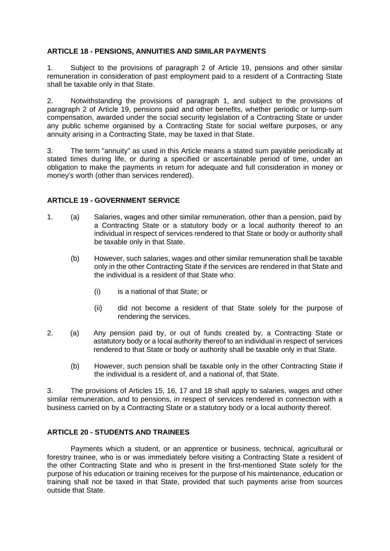#### **ARTICLE 18 - PENSIONS, ANNUITIES AND SIMILAR PAYMENTS**

1. Subject to the provisions of paragraph 2 of Article 19, pensions and other similar remuneration in consideration of past employment paid to a resident of a Contracting State shall be taxable only in that State.

2. Notwithstanding the provisions of paragraph 1, and subject to the provisions of paragraph 2 of Article 19, pensions paid and other benefits, whether periodic or lump-sum compensation, awarded under the social security legislation of a Contracting State or under any public scheme organised by a Contracting State for social welfare purposes, or any annuity arising in a Contracting State, may be taxed in that State.

3. The term "annuity" as used in this Article means a stated sum payable periodically at stated times during life, or during a specified or ascertainable period of time, under an obligation to make the payments in return for adequate and full consideration in money or money's worth (other than services rendered).

#### **ARTICLE 19 - GOVERNMENT SERVICE**

- 1. (a) Salaries, wages and other similar remuneration, other than a pension, paid by a Contracting State or a statutory body or a local authority thereof to an individual in respect of services rendered to that State or body or authority shall be taxable only in that State.
	- (b) However, such salaries, wages and other similar remuneration shall be taxable only in the other Contracting State if the services are rendered in that State and the individual is a resident of that State who:
		- (i) is a national of that State; or
		- (ii) did not become a resident of that State solely for the purpose of rendering the services.
- 2. (a) Any pension paid by, or out of funds created by, a Contracting State or astatutory body or a local authority thereof to an individual in respect of services rendered to that State or body or authority shall be taxable only in that State.
	- (b) However, such pension shall be taxable only in the other Contracting State if the individual is a resident of, and a national of, that State.

3. The provisions of Articles 15, 16, 17 and 18 shall apply to salaries, wages and other similar remuneration, and to pensions, in respect of services rendered in connection with a business carried on by a Contracting State or a statutory body or a local authority thereof.

#### **ARTICLE 20 - STUDENTS AND TRAINEES**

Payments which a student, or an apprentice or business, technical, agricultural or forestry trainee, who is or was immediately before visiting a Contracting State a resident of the other Contracting State and who is present in the first-mentioned State solely for the purpose of his education or training receives for the purpose of his maintenance, education or training shall not be taxed in that State, provided that such payments arise from sources outside that State.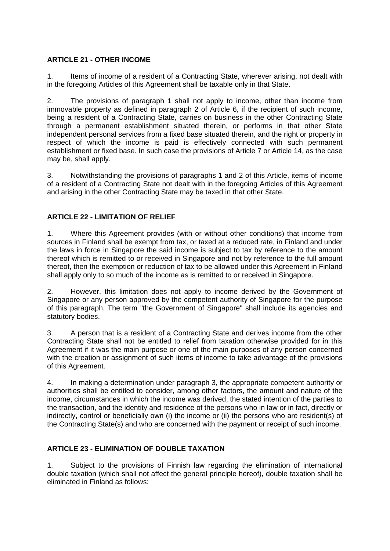## **ARTICLE 21 - OTHER INCOME**

1. Items of income of a resident of a Contracting State, wherever arising, not dealt with in the foregoing Articles of this Agreement shall be taxable only in that State.

2. The provisions of paragraph 1 shall not apply to income, other than income from immovable property as defined in paragraph 2 of Article 6, if the recipient of such income, being a resident of a Contracting State, carries on business in the other Contracting State through a permanent establishment situated therein, or performs in that other State independent personal services from a fixed base situated therein, and the right or property in respect of which the income is paid is effectively connected with such permanent establishment or fixed base. In such case the provisions of Article 7 or Article 14, as the case may be, shall apply.

3. Notwithstanding the provisions of paragraphs 1 and 2 of this Article, items of income of a resident of a Contracting State not dealt with in the foregoing Articles of this Agreement and arising in the other Contracting State may be taxed in that other State.

## **ARTICLE 22 - LIMITATION OF RELIEF**

1. Where this Agreement provides (with or without other conditions) that income from sources in Finland shall be exempt from tax, or taxed at a reduced rate, in Finland and under the laws in force in Singapore the said income is subject to tax by reference to the amount thereof which is remitted to or received in Singapore and not by reference to the full amount thereof, then the exemption or reduction of tax to be allowed under this Agreement in Finland shall apply only to so much of the income as is remitted to or received in Singapore.

2. However, this limitation does not apply to income derived by the Government of Singapore or any person approved by the competent authority of Singapore for the purpose of this paragraph. The term "the Government of Singapore" shall include its agencies and statutory bodies.

3. A person that is a resident of a Contracting State and derives income from the other Contracting State shall not be entitled to relief from taxation otherwise provided for in this Agreement if it was the main purpose or one of the main purposes of any person concerned with the creation or assignment of such items of income to take advantage of the provisions of this Agreement.

4. In making a determination under paragraph 3, the appropriate competent authority or authorities shall be entitled to consider, among other factors, the amount and nature of the income, circumstances in which the income was derived, the stated intention of the parties to the transaction, and the identity and residence of the persons who in law or in fact, directly or indirectly, control or beneficially own (i) the income or (ii) the persons who are resident(s) of the Contracting State(s) and who are concerned with the payment or receipt of such income.

## **ARTICLE 23 - ELIMINATION OF DOUBLE TAXATION**

1. Subject to the provisions of Finnish law regarding the elimination of international double taxation (which shall not affect the general principle hereof), double taxation shall be eliminated in Finland as follows: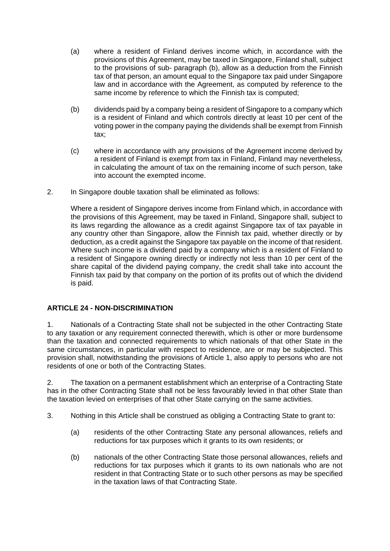- (a) where a resident of Finland derives income which, in accordance with the provisions of this Agreement, may be taxed in Singapore, Finland shall, subject to the provisions of sub- paragraph (b), allow as a deduction from the Finnish tax of that person, an amount equal to the Singapore tax paid under Singapore law and in accordance with the Agreement, as computed by reference to the same income by reference to which the Finnish tax is computed;
- (b) dividends paid by a company being a resident of Singapore to a company which is a resident of Finland and which controls directly at least 10 per cent of the voting power in the company paying the dividends shall be exempt from Finnish tax;
- (c) where in accordance with any provisions of the Agreement income derived by a resident of Finland is exempt from tax in Finland, Finland may nevertheless, in calculating the amount of tax on the remaining income of such person, take into account the exempted income.
- 2. In Singapore double taxation shall be eliminated as follows:

Where a resident of Singapore derives income from Finland which, in accordance with the provisions of this Agreement, may be taxed in Finland, Singapore shall, subject to its laws regarding the allowance as a credit against Singapore tax of tax payable in any country other than Singapore, allow the Finnish tax paid, whether directly or by deduction, as a credit against the Singapore tax payable on the income of that resident. Where such income is a dividend paid by a company which is a resident of Finland to a resident of Singapore owning directly or indirectly not less than 10 per cent of the share capital of the dividend paying company, the credit shall take into account the Finnish tax paid by that company on the portion of its profits out of which the dividend is paid.

## **ARTICLE 24 - NON-DISCRIMINATION**

1. Nationals of a Contracting State shall not be subjected in the other Contracting State to any taxation or any requirement connected therewith, which is other or more burdensome than the taxation and connected requirements to which nationals of that other State in the same circumstances, in particular with respect to residence, are or may be subjected. This provision shall, notwithstanding the provisions of Article 1, also apply to persons who are not residents of one or both of the Contracting States.

2. The taxation on a permanent establishment which an enterprise of a Contracting State has in the other Contracting State shall not be less favourably levied in that other State than the taxation levied on enterprises of that other State carrying on the same activities.

- 3. Nothing in this Article shall be construed as obliging a Contracting State to grant to:
	- (a) residents of the other Contracting State any personal allowances, reliefs and reductions for tax purposes which it grants to its own residents; or
	- (b) nationals of the other Contracting State those personal allowances, reliefs and reductions for tax purposes which it grants to its own nationals who are not resident in that Contracting State or to such other persons as may be specified in the taxation laws of that Contracting State.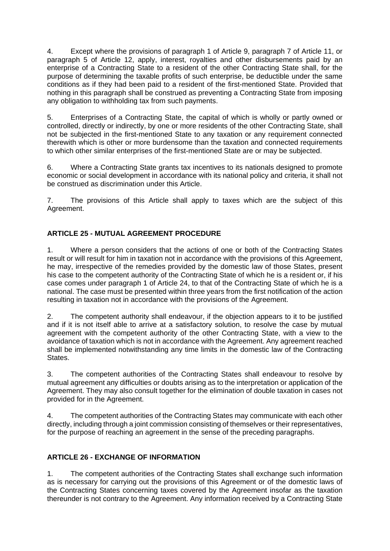4. Except where the provisions of paragraph 1 of Article 9, paragraph 7 of Article 11, or paragraph 5 of Article 12, apply, interest, royalties and other disbursements paid by an enterprise of a Contracting State to a resident of the other Contracting State shall, for the purpose of determining the taxable profits of such enterprise, be deductible under the same conditions as if they had been paid to a resident of the first-mentioned State. Provided that nothing in this paragraph shall be construed as preventing a Contracting State from imposing any obligation to withholding tax from such payments.

5. Enterprises of a Contracting State, the capital of which is wholly or partly owned or controlled, directly or indirectly, by one or more residents of the other Contracting State, shall not be subjected in the first-mentioned State to any taxation or any requirement connected therewith which is other or more burdensome than the taxation and connected requirements to which other similar enterprises of the first-mentioned State are or may be subjected.

6. Where a Contracting State grants tax incentives to its nationals designed to promote economic or social development in accordance with its national policy and criteria, it shall not be construed as discrimination under this Article.

7. The provisions of this Article shall apply to taxes which are the subject of this Agreement.

## **ARTICLE 25 - MUTUAL AGREEMENT PROCEDURE**

1. Where a person considers that the actions of one or both of the Contracting States result or will result for him in taxation not in accordance with the provisions of this Agreement, he may, irrespective of the remedies provided by the domestic law of those States, present his case to the competent authority of the Contracting State of which he is a resident or, if his case comes under paragraph 1 of Article 24, to that of the Contracting State of which he is a national. The case must be presented within three years from the first notification of the action resulting in taxation not in accordance with the provisions of the Agreement.

2. The competent authority shall endeavour, if the objection appears to it to be justified and if it is not itself able to arrive at a satisfactory solution, to resolve the case by mutual agreement with the competent authority of the other Contracting State, with a view to the avoidance of taxation which is not in accordance with the Agreement. Any agreement reached shall be implemented notwithstanding any time limits in the domestic law of the Contracting States.

3. The competent authorities of the Contracting States shall endeavour to resolve by mutual agreement any difficulties or doubts arising as to the interpretation or application of the Agreement. They may also consult together for the elimination of double taxation in cases not provided for in the Agreement.

4. The competent authorities of the Contracting States may communicate with each other directly, including through a joint commission consisting of themselves or their representatives, for the purpose of reaching an agreement in the sense of the preceding paragraphs.

## **ARTICLE 26 - EXCHANGE OF INFORMATION**

1. The competent authorities of the Contracting States shall exchange such information as is necessary for carrying out the provisions of this Agreement or of the domestic laws of the Contracting States concerning taxes covered by the Agreement insofar as the taxation thereunder is not contrary to the Agreement. Any information received by a Contracting State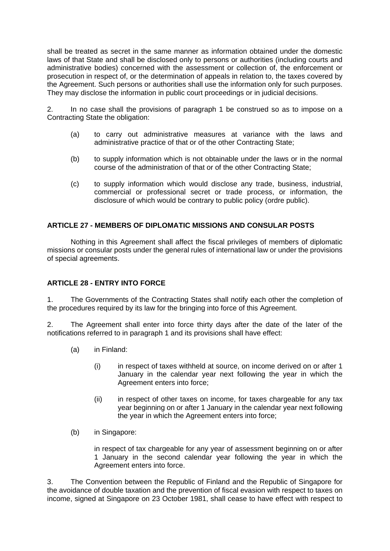shall be treated as secret in the same manner as information obtained under the domestic laws of that State and shall be disclosed only to persons or authorities (including courts and administrative bodies) concerned with the assessment or collection of, the enforcement or prosecution in respect of, or the determination of appeals in relation to, the taxes covered by the Agreement. Such persons or authorities shall use the information only for such purposes. They may disclose the information in public court proceedings or in judicial decisions.

2. In no case shall the provisions of paragraph 1 be construed so as to impose on a Contracting State the obligation:

- (a) to carry out administrative measures at variance with the laws and administrative practice of that or of the other Contracting State;
- (b) to supply information which is not obtainable under the laws or in the normal course of the administration of that or of the other Contracting State;
- (c) to supply information which would disclose any trade, business, industrial, commercial or professional secret or trade process, or information, the disclosure of which would be contrary to public policy (ordre public).

#### **ARTICLE 27 - MEMBERS OF DIPLOMATIC MISSIONS AND CONSULAR POSTS**

Nothing in this Agreement shall affect the fiscal privileges of members of diplomatic missions or consular posts under the general rules of international law or under the provisions of special agreements.

#### **ARTICLE 28 - ENTRY INTO FORCE**

1. The Governments of the Contracting States shall notify each other the completion of the procedures required by its law for the bringing into force of this Agreement.

2. The Agreement shall enter into force thirty days after the date of the later of the notifications referred to in paragraph 1 and its provisions shall have effect:

- (a) in Finland:
	- (i) in respect of taxes withheld at source, on income derived on or after 1 January in the calendar year next following the year in which the Agreement enters into force;
	- (ii) in respect of other taxes on income, for taxes chargeable for any tax year beginning on or after 1 January in the calendar year next following the year in which the Agreement enters into force;
- (b) in Singapore:

in respect of tax chargeable for any year of assessment beginning on or after 1 January in the second calendar year following the year in which the Agreement enters into force.

3. The Convention between the Republic of Finland and the Republic of Singapore for the avoidance of double taxation and the prevention of fiscal evasion with respect to taxes on income, signed at Singapore on 23 October 1981, shall cease to have effect with respect to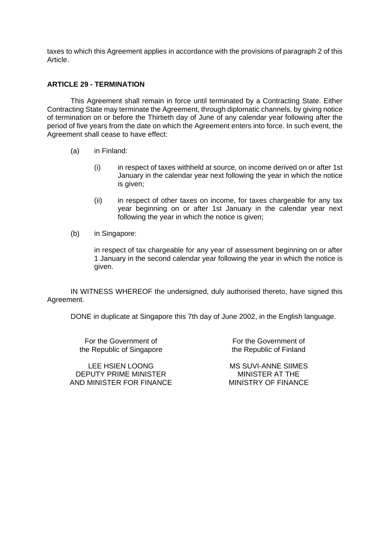taxes to which this Agreement applies in accordance with the provisions of paragraph 2 of this Article.

#### **ARTICLE 29 - TERMINATION**

This Agreement shall remain in force until terminated by a Contracting State. Either Contracting State may terminate the Agreement, through diplomatic channels, by giving notice of termination on or before the Thirtieth day of June of any calendar year following after the period of five years from the date on which the Agreement enters into force. In such event, the Agreement shall cease to have effect:

- (a) in Finland:
	- (i) in respect of taxes withheld at source, on income derived on or after 1st January in the calendar year next following the year in which the notice is given;
	- (ii) in respect of other taxes on income, for taxes chargeable for any tax year beginning on or after 1st January in the calendar year next following the year in which the notice is given;
- (b) in Singapore:

in respect of tax chargeable for any year of assessment beginning on or after 1 January in the second calendar year following the year in which the notice is given.

IN WITNESS WHEREOF the undersigned, duly authorised thereto, have signed this Agreement.

DONE in duplicate at Singapore this 7th day of June 2002, in the English language.

For the Government of the Republic of Singapore

LEE HSIEN LOONG DEPUTY PRIME MINISTER AND MINISTER FOR FINANCE

For the Government of the Republic of Finland

MS SUVI-ANNE SIIMES MINISTER AT THE MINISTRY OF FINANCE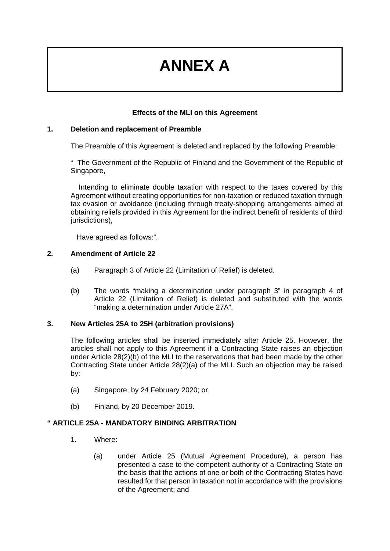## **ANNEX A**

## **Effects of the MLI on this Agreement**

#### **1. Deletion and replacement of Preamble**

The Preamble of this Agreement is deleted and replaced by the following Preamble:

" The Government of the Republic of Finland and the Government of the Republic of Singapore,

 Intending to eliminate double taxation with respect to the taxes covered by this Agreement without creating opportunities for non-taxation or reduced taxation through tax evasion or avoidance (including through treaty-shopping arrangements aimed at obtaining reliefs provided in this Agreement for the indirect benefit of residents of third jurisdictions),

Have agreed as follows:".

#### **2. Amendment of Article 22**

- (a) Paragraph 3 of Article 22 (Limitation of Relief) is deleted.
- (b) The words "making a determination under paragraph 3" in paragraph 4 of Article 22 (Limitation of Relief) is deleted and substituted with the words "making a determination under Article 27A".

#### **3. New Articles 25A to 25H (arbitration provisions)**

The following articles shall be inserted immediately after Article 25. However, the articles shall not apply to this Agreement if a Contracting State raises an objection under Article 28(2)(b) of the MLI to the reservations that had been made by the other Contracting State under Article 28(2)(a) of the MLI. Such an objection may be raised by:

- (a) Singapore, by 24 February 2020; or
- (b) Finland, by 20 December 2019.

#### **" ARTICLE 25A - MANDATORY BINDING ARBITRATION**

- 1. Where:
	- (a) under Article 25 (Mutual Agreement Procedure), a person has presented a case to the competent authority of a Contracting State on the basis that the actions of one or both of the Contracting States have resulted for that person in taxation not in accordance with the provisions of the Agreement; and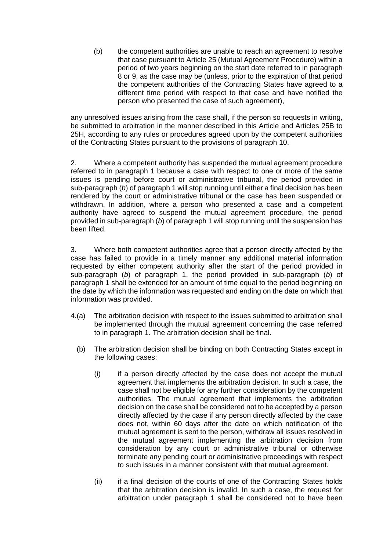(b) the competent authorities are unable to reach an agreement to resolve that case pursuant to Article 25 (Mutual Agreement Procedure) within a period of two years beginning on the start date referred to in paragraph 8 or 9, as the case may be (unless, prior to the expiration of that period the competent authorities of the Contracting States have agreed to a different time period with respect to that case and have notified the person who presented the case of such agreement),

any unresolved issues arising from the case shall, if the person so requests in writing, be submitted to arbitration in the manner described in this Article and Articles 25B to 25H, according to any rules or procedures agreed upon by the competent authorities of the Contracting States pursuant to the provisions of paragraph 10.

2. Where a competent authority has suspended the mutual agreement procedure referred to in paragraph 1 because a case with respect to one or more of the same issues is pending before court or administrative tribunal, the period provided in sub-paragraph (*b*) of paragraph 1 will stop running until either a final decision has been rendered by the court or administrative tribunal or the case has been suspended or withdrawn. In addition, where a person who presented a case and a competent authority have agreed to suspend the mutual agreement procedure, the period provided in sub-paragraph (*b*) of paragraph 1 will stop running until the suspension has been lifted.

3. Where both competent authorities agree that a person directly affected by the case has failed to provide in a timely manner any additional material information requested by either competent authority after the start of the period provided in sub-paragraph (*b*) of paragraph 1, the period provided in sub-paragraph (*b*) of paragraph 1 shall be extended for an amount of time equal to the period beginning on the date by which the information was requested and ending on the date on which that information was provided.

- 4.(a) The arbitration decision with respect to the issues submitted to arbitration shall be implemented through the mutual agreement concerning the case referred to in paragraph 1. The arbitration decision shall be final.
	- (b) The arbitration decision shall be binding on both Contracting States except in the following cases:
		- (i) if a person directly affected by the case does not accept the mutual agreement that implements the arbitration decision. In such a case, the case shall not be eligible for any further consideration by the competent authorities. The mutual agreement that implements the arbitration decision on the case shall be considered not to be accepted by a person directly affected by the case if any person directly affected by the case does not, within 60 days after the date on which notification of the mutual agreement is sent to the person, withdraw all issues resolved in the mutual agreement implementing the arbitration decision from consideration by any court or administrative tribunal or otherwise terminate any pending court or administrative proceedings with respect to such issues in a manner consistent with that mutual agreement.
		- (ii) if a final decision of the courts of one of the Contracting States holds that the arbitration decision is invalid. In such a case, the request for arbitration under paragraph 1 shall be considered not to have been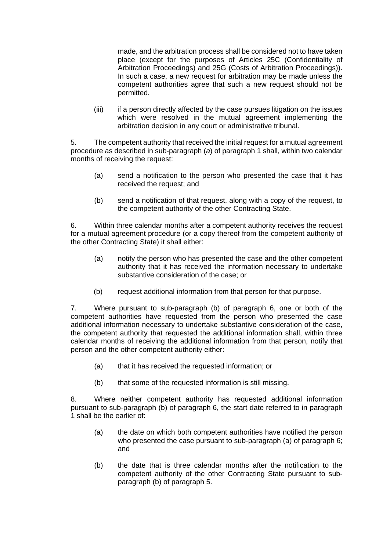made, and the arbitration process shall be considered not to have taken place (except for the purposes of Articles 25C (Confidentiality of Arbitration Proceedings) and 25G (Costs of Arbitration Proceedings)). In such a case, a new request for arbitration may be made unless the competent authorities agree that such a new request should not be permitted.

(iii) if a person directly affected by the case pursues litigation on the issues which were resolved in the mutual agreement implementing the arbitration decision in any court or administrative tribunal.

5. The competent authority that received the initial request for a mutual agreement procedure as described in sub-paragraph (*a*) of paragraph 1 shall, within two calendar months of receiving the request:

- (a) send a notification to the person who presented the case that it has received the request; and
- (b) send a notification of that request, along with a copy of the request, to the competent authority of the other Contracting State.

6. Within three calendar months after a competent authority receives the request for a mutual agreement procedure (or a copy thereof from the competent authority of the other Contracting State) it shall either:

- (a) notify the person who has presented the case and the other competent authority that it has received the information necessary to undertake substantive consideration of the case; or
- (b) request additional information from that person for that purpose.

7. Where pursuant to sub-paragraph (b) of paragraph 6, one or both of the competent authorities have requested from the person who presented the case additional information necessary to undertake substantive consideration of the case, the competent authority that requested the additional information shall, within three calendar months of receiving the additional information from that person, notify that person and the other competent authority either:

- (a) that it has received the requested information; or
- (b) that some of the requested information is still missing.

8. Where neither competent authority has requested additional information pursuant to sub-paragraph (b) of paragraph 6, the start date referred to in paragraph 1 shall be the earlier of:

- (a) the date on which both competent authorities have notified the person who presented the case pursuant to sub-paragraph (a) of paragraph 6; and
- (b) the date that is three calendar months after the notification to the competent authority of the other Contracting State pursuant to subparagraph (b) of paragraph 5.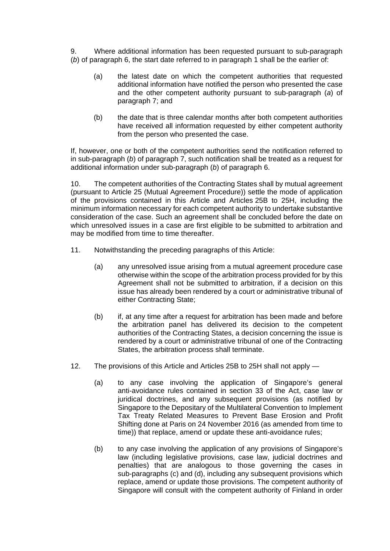9. Where additional information has been requested pursuant to sub-paragraph (*b*) of paragraph 6, the start date referred to in paragraph 1 shall be the earlier of:

- (a) the latest date on which the competent authorities that requested additional information have notified the person who presented the case and the other competent authority pursuant to sub-paragraph (*a*) of paragraph 7; and
- (b) the date that is three calendar months after both competent authorities have received all information requested by either competent authority from the person who presented the case.

If, however, one or both of the competent authorities send the notification referred to in sub-paragraph (*b*) of paragraph 7, such notification shall be treated as a request for additional information under sub-paragraph (*b*) of paragraph 6.

10. The competent authorities of the Contracting States shall by mutual agreement (pursuant to Article 25 (Mutual Agreement Procedure)) settle the mode of application of the provisions contained in this Article and Articles 25B to 25H, including the minimum information necessary for each competent authority to undertake substantive consideration of the case. Such an agreement shall be concluded before the date on which unresolved issues in a case are first eligible to be submitted to arbitration and may be modified from time to time thereafter.

- 11. Notwithstanding the preceding paragraphs of this Article:
	- (a) any unresolved issue arising from a mutual agreement procedure case otherwise within the scope of the arbitration process provided for by this Agreement shall not be submitted to arbitration, if a decision on this issue has already been rendered by a court or administrative tribunal of either Contracting State;
	- (b) if, at any time after a request for arbitration has been made and before the arbitration panel has delivered its decision to the competent authorities of the Contracting States, a decision concerning the issue is rendered by a court or administrative tribunal of one of the Contracting States, the arbitration process shall terminate.
- 12. The provisions of this Article and Articles 25B to 25H shall not apply
	- (a) to any case involving the application of Singapore's general anti-avoidance rules contained in section 33 of the Act, case law or juridical doctrines, and any subsequent provisions (as notified by Singapore to the Depositary of the Multilateral Convention to Implement Tax Treaty Related Measures to Prevent Base Erosion and Profit Shifting done at Paris on 24 November 2016 (as amended from time to time)) that replace, amend or update these anti-avoidance rules;
	- (b) to any case involving the application of any provisions of Singapore's law (including legislative provisions, case law, judicial doctrines and penalties) that are analogous to those governing the cases in sub-paragraphs (c) and (d), including any subsequent provisions which replace, amend or update those provisions. The competent authority of Singapore will consult with the competent authority of Finland in order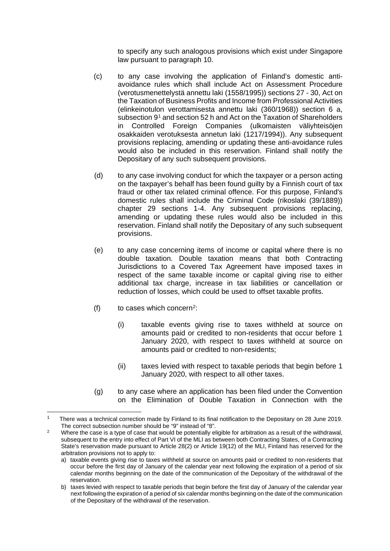to specify any such analogous provisions which exist under Singapore law pursuant to paragraph 10.

- (c) to any case involving the application of Finland's domestic antiavoidance rules which shall include Act on Assessment Procedure (verotusmenettelystä annettu laki (1558/1995)) sections 27 - 30, Act on the Taxation of Business Profits and Income from Professional Activities (elinkeinotulon verottamisesta annettu laki (360/1968)) section 6 a, subsection 9<sup>[1](#page-23-0)</sup> and section 52 h and Act on the Taxation of Shareholders in Controlled Foreign Companies (ulkomaisten väliyhteisöjen osakkaiden verotuksesta annetun laki (1217/1994)). Any subsequent provisions replacing, amending or updating these anti-avoidance rules would also be included in this reservation. Finland shall notify the Depositary of any such subsequent provisions.
- (d) to any case involving conduct for which the taxpayer or a person acting on the taxpayer's behalf has been found guilty by a Finnish court of tax fraud or other tax related criminal offence. For this purpose, Finland's domestic rules shall include the Criminal Code (rikoslaki (39/1889)) chapter 29 sections 1-4. Any subsequent provisions replacing, amending or updating these rules would also be included in this reservation. Finland shall notify the Depositary of any such subsequent provisions.
- (e) to any case concerning items of income or capital where there is no double taxation. Double taxation means that both Contracting Jurisdictions to a Covered Tax Agreement have imposed taxes in respect of the same taxable income or capital giving rise to either additional tax charge, increase in tax liabilities or cancellation or reduction of losses, which could be used to offset taxable profits.
- (f) to cases which concern<sup>2</sup>:
	- (i) taxable events giving rise to taxes withheld at source on amounts paid or credited to non-residents that occur before 1 January 2020, with respect to taxes withheld at source on amounts paid or credited to non-residents;
	- (ii) taxes levied with respect to taxable periods that begin before 1 January 2020, with respect to all other taxes.
- (g) to any case where an application has been filed under the Convention on the Elimination of Double Taxation in Connection with the

<span id="page-23-0"></span><sup>1</sup> There was a technical correction made by Finland to its final notification to the Depositary on 28 June 2019. The correct subsection number should be "9" instead of "8".

<span id="page-23-1"></span><sup>&</sup>lt;sup>2</sup> Where the case is a type of case that would be potentially eligible for arbitration as a result of the withdrawal, subsequent to the entry into effect of Part VI of the MLI as between both Contracting States, of a Contracting State's reservation made pursuant to Article 28(2) or Article 19(12) of the MLI, Finland has reserved for the arbitration provisions not to apply to:

a) taxable events giving rise to taxes withheld at source on amounts paid or credited to non-residents that occur before the first day of January of the calendar year next following the expiration of a period of six calendar months beginning on the date of the communication of the Depositary of the withdrawal of the reservation.

b) taxes levied with respect to taxable periods that begin before the first day of January of the calendar year next following the expiration of a period of six calendar months beginning on the date of the communication of the Depositary of the withdrawal of the reservation.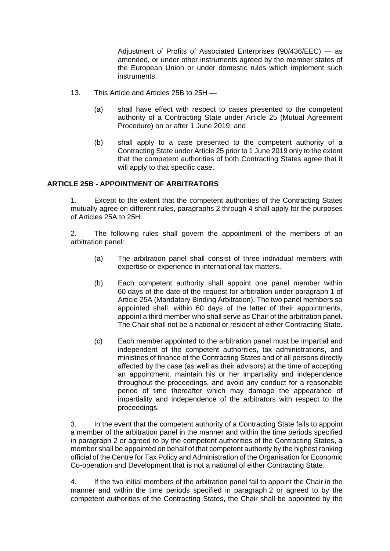Adjustment of Profits of Associated Enterprises (90/436/EEC) — as amended, or under other instruments agreed by the member states of the European Union or under domestic rules which implement such instruments.

- 13. This Article and Articles 25B to 25H
	- (a) shall have effect with respect to cases presented to the competent authority of a Contracting State under Article 25 (Mutual Agreement Procedure) on or after 1 June 2019; and
	- (b) shall apply to a case presented to the competent authority of a Contracting State under Article 25 prior to 1 June 2019 only to the extent that the competent authorities of both Contracting States agree that it will apply to that specific case.

#### **ARTICLE 25B - APPOINTMENT OF ARBITRATORS**

1. Except to the extent that the competent authorities of the Contracting States mutually agree on different rules, paragraphs 2 through 4 shall apply for the purposes of Articles 25A to 25H.

2. The following rules shall govern the appointment of the members of an arbitration panel:

- (a) The arbitration panel shall consist of three individual members with expertise or experience in international tax matters.
- (b) Each competent authority shall appoint one panel member within 60 days of the date of the request for arbitration under paragraph 1 of Article 25A (Mandatory Binding Arbitration). The two panel members so appointed shall, within 60 days of the latter of their appointments, appoint a third member who shall serve as Chair of the arbitration panel. The Chair shall not be a national or resident of either Contracting State.
- (c) Each member appointed to the arbitration panel must be impartial and independent of the competent authorities, tax administrations, and ministries of finance of the Contracting States and of all persons directly affected by the case (as well as their advisors) at the time of accepting an appointment, maintain his or her impartiality and independence throughout the proceedings, and avoid any conduct for a reasonable period of time thereafter which may damage the appearance of impartiality and independence of the arbitrators with respect to the proceedings.

3. In the event that the competent authority of a Contracting State fails to appoint a member of the arbitration panel in the manner and within the time periods specified in paragraph 2 or agreed to by the competent authorities of the Contracting States, a member shall be appointed on behalf of that competent authority by the highest ranking official of the Centre for Tax Policy and Administration of the Organisation for Economic Co-operation and Development that is not a national of either Contracting State.

4. If the two initial members of the arbitration panel fail to appoint the Chair in the manner and within the time periods specified in paragraph 2 or agreed to by the competent authorities of the Contracting States, the Chair shall be appointed by the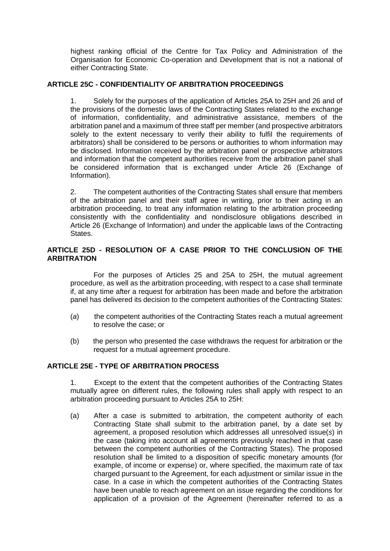highest ranking official of the Centre for Tax Policy and Administration of the Organisation for Economic Co-operation and Development that is not a national of either Contracting State.

#### **ARTICLE 25C - CONFIDENTIALITY OF ARBITRATION PROCEEDINGS**

Solely for the purposes of the application of Articles 25A to 25H and 26 and of the provisions of the domestic laws of the Contracting States related to the exchange of information, confidentiality, and administrative assistance, members of the arbitration panel and a maximum of three staff per member (and prospective arbitrators solely to the extent necessary to verify their ability to fulfil the requirements of arbitrators) shall be considered to be persons or authorities to whom information may be disclosed. Information received by the arbitration panel or prospective arbitrators and information that the competent authorities receive from the arbitration panel shall be considered information that is exchanged under Article 26 (Exchange of Information).

2. The competent authorities of the Contracting States shall ensure that members of the arbitration panel and their staff agree in writing, prior to their acting in an arbitration proceeding, to treat any information relating to the arbitration proceeding consistently with the confidentiality and nondisclosure obligations described in Article 26 (Exchange of Information) and under the applicable laws of the Contracting States.

#### **ARTICLE 25D - RESOLUTION OF A CASE PRIOR TO THE CONCLUSION OF THE ARBITRATION**

 For the purposes of Articles 25 and 25A to 25H, the mutual agreement procedure, as well as the arbitration proceeding, with respect to a case shall terminate if, at any time after a request for arbitration has been made and before the arbitration panel has delivered its decision to the competent authorities of the Contracting States:

- (*a*) the competent authorities of the Contracting States reach a mutual agreement to resolve the case; or
- (b) the person who presented the case withdraws the request for arbitration or the request for a mutual agreement procedure.

#### **ARTICLE 25E - TYPE OF ARBITRATION PROCESS**

1. Except to the extent that the competent authorities of the Contracting States mutually agree on different rules, the following rules shall apply with respect to an arbitration proceeding pursuant to Articles 25A to 25H:

(a) After a case is submitted to arbitration, the competent authority of each Contracting State shall submit to the arbitration panel, by a date set by agreement, a proposed resolution which addresses all unresolved issue(*s*) in the case (taking into account all agreements previously reached in that case between the competent authorities of the Contracting States). The proposed resolution shall be limited to a disposition of specific monetary amounts (for example, of income or expense) or, where specified, the maximum rate of tax charged pursuant to the Agreement, for each adjustment or similar issue in the case. In a case in which the competent authorities of the Contracting States have been unable to reach agreement on an issue regarding the conditions for application of a provision of the Agreement (hereinafter referred to as a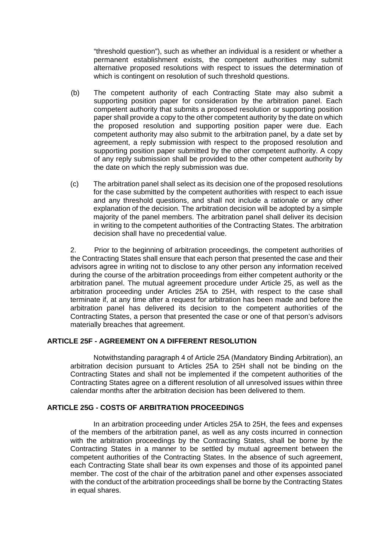"threshold question"), such as whether an individual is a resident or whether a permanent establishment exists, the competent authorities may submit alternative proposed resolutions with respect to issues the determination of which is contingent on resolution of such threshold questions.

- (b) The competent authority of each Contracting State may also submit a supporting position paper for consideration by the arbitration panel. Each competent authority that submits a proposed resolution or supporting position paper shall provide a copy to the other competent authority by the date on which the proposed resolution and supporting position paper were due. Each competent authority may also submit to the arbitration panel, by a date set by agreement, a reply submission with respect to the proposed resolution and supporting position paper submitted by the other competent authority. A copy of any reply submission shall be provided to the other competent authority by the date on which the reply submission was due.
- (c) The arbitration panel shall select as its decision one of the proposed resolutions for the case submitted by the competent authorities with respect to each issue and any threshold questions, and shall not include a rationale or any other explanation of the decision. The arbitration decision will be adopted by a simple majority of the panel members. The arbitration panel shall deliver its decision in writing to the competent authorities of the Contracting States. The arbitration decision shall have no precedential value.

2. Prior to the beginning of arbitration proceedings, the competent authorities of the Contracting States shall ensure that each person that presented the case and their advisors agree in writing not to disclose to any other person any information received during the course of the arbitration proceedings from either competent authority or the arbitration panel. The mutual agreement procedure under Article 25, as well as the arbitration proceeding under Articles 25A to 25H, with respect to the case shall terminate if, at any time after a request for arbitration has been made and before the arbitration panel has delivered its decision to the competent authorities of the Contracting States, a person that presented the case or one of that person's advisors materially breaches that agreement.

#### **ARTICLE 25F - AGREEMENT ON A DIFFERENT RESOLUTION**

 Notwithstanding paragraph 4 of Article 25A (Mandatory Binding Arbitration), an arbitration decision pursuant to Articles 25A to 25H shall not be binding on the Contracting States and shall not be implemented if the competent authorities of the Contracting States agree on a different resolution of all unresolved issues within three calendar months after the arbitration decision has been delivered to them.

#### **ARTICLE 25G - COSTS OF ARBITRATION PROCEEDINGS**

In an arbitration proceeding under Articles 25A to 25H, the fees and expenses of the members of the arbitration panel, as well as any costs incurred in connection with the arbitration proceedings by the Contracting States, shall be borne by the Contracting States in a manner to be settled by mutual agreement between the competent authorities of the Contracting States. In the absence of such agreement, each Contracting State shall bear its own expenses and those of its appointed panel member. The cost of the chair of the arbitration panel and other expenses associated with the conduct of the arbitration proceedings shall be borne by the Contracting States in equal shares.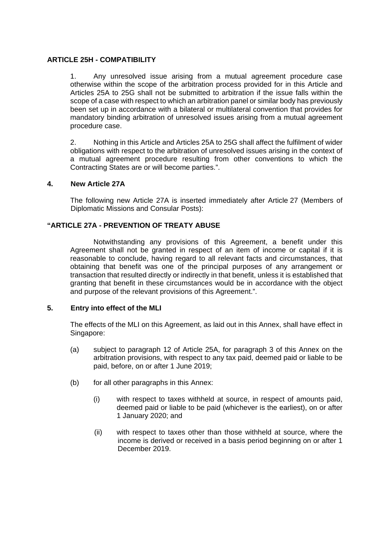#### **ARTICLE 25H - COMPATIBILITY**

1. Any unresolved issue arising from a mutual agreement procedure case otherwise within the scope of the arbitration process provided for in this Article and Articles 25A to 25G shall not be submitted to arbitration if the issue falls within the scope of a case with respect to which an arbitration panel or similar body has previously been set up in accordance with a bilateral or multilateral convention that provides for mandatory binding arbitration of unresolved issues arising from a mutual agreement procedure case.

2. Nothing in this Article and Articles 25A to 25G shall affect the fulfilment of wider obligations with respect to the arbitration of unresolved issues arising in the context of a mutual agreement procedure resulting from other conventions to which the Contracting States are or will become parties.".

#### **4. New Article 27A**

The following new Article 27A is inserted immediately after Article 27 (Members of Diplomatic Missions and Consular Posts):

#### **"ARTICLE 27A - PREVENTION OF TREATY ABUSE**

Notwithstanding any provisions of this Agreement, a benefit under this Agreement shall not be granted in respect of an item of income or capital if it is reasonable to conclude, having regard to all relevant facts and circumstances, that obtaining that benefit was one of the principal purposes of any arrangement or transaction that resulted directly or indirectly in that benefit, unless it is established that granting that benefit in these circumstances would be in accordance with the object and purpose of the relevant provisions of this Agreement.".

#### **5. Entry into effect of the MLI**

The effects of the MLI on this Agreement, as laid out in this Annex, shall have effect in Singapore:

- (a) subject to paragraph 12 of Article 25A, for paragraph 3 of this Annex on the arbitration provisions, with respect to any tax paid, deemed paid or liable to be paid, before, on or after 1 June 2019;
- (b) for all other paragraphs in this Annex:
	- (i) with respect to taxes withheld at source, in respect of amounts paid, deemed paid or liable to be paid (whichever is the earliest), on or after 1 January 2020; and
	- (ii) with respect to taxes other than those withheld at source, where the income is derived or received in a basis period beginning on or after 1 December 2019.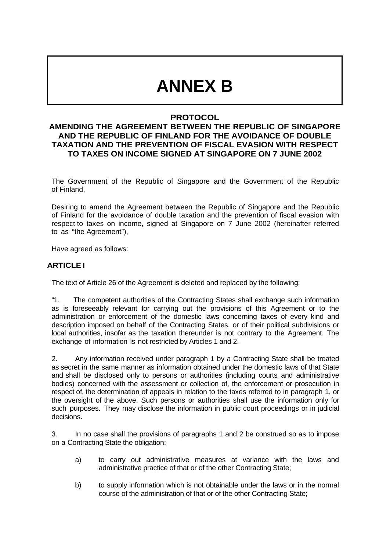## **ANNEX B**

## **PROTOCOL**

## **AMENDING THE AGREEMENT BETWEEN THE REPUBLIC OF SINGAPORE AND THE REPUBLIC OF FINLAND FOR THE AVOIDANCE OF DOUBLE TAXATION AND THE PREVENTION OF FISCAL EVASION WITH RESPECT TO TAXES ON INCOME SIGNED AT SINGAPORE ON 7 JUNE 2002**

The Government of the Republic of Singapore and the Government of the Republic of Finland,

Desiring to amend the Agreement between the Republic of Singapore and the Republic of Finland for the avoidance of double taxation and the prevention of fiscal evasion with respect to taxes on income, signed at Singapore on 7 June 2002 (hereinafter referred to as "the Agreement"),

Have agreed as follows:

#### **ARTICLE I**

The text of Article 26 of the Agreement is deleted and replaced by the following:

"1. The competent authorities of the Contracting States shall exchange such information as is foreseeably relevant for carrying out the provisions of this Agreement or to the administration or enforcement of the domestic laws concerning taxes of every kind and description imposed on behalf of the Contracting States, or of their political subdivisions or local authorities, insofar as the taxation thereunder is not contrary to the Agreement. The exchange of information is not restricted by Articles 1 and 2.

2. Any information received under paragraph 1 by a Contracting State shall be treated as secret in the same manner as information obtained under the domestic laws of that State and shall be disclosed only to persons or authorities (including courts and administrative bodies) concerned with the assessment or collection of, the enforcement or prosecution in respect of, the determination of appeals in relation to the taxes referred to in paragraph 1, or the oversight of the above. Such persons or authorities shall use the information only for such purposes. They may disclose the information in public court proceedings or in judicial decisions.

3. In no case shall the provisions of paragraphs 1 and 2 be construed so as to impose on a Contracting State the obligation:

- a) to carry out administrative measures at variance with the laws and administrative practice of that or of the other Contracting State;
- b) to supply information which is not obtainable under the laws or in the normal course of the administration of that or of the other Contracting State;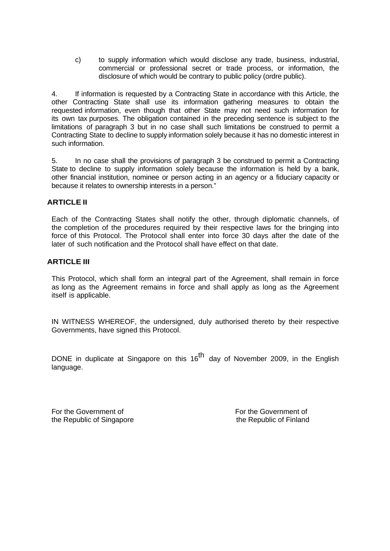c) to supply information which would disclose any trade, business, industrial, commercial or professional secret or trade process, or information, the disclosure of which would be contrary to public policy (ordre public).

4. If information is requested by a Contracting State in accordance with this Article, the other Contracting State shall use its information gathering measures to obtain the requested information, even though that other State may not need such information for its own tax purposes. The obligation contained in the preceding sentence is subject to the limitations of paragraph 3 but in no case shall such limitations be construed to permit a Contracting State to decline to supply information solely because it has no domestic interest in such information.

5. In no case shall the provisions of paragraph 3 be construed to permit a Contracting State to decline to supply information solely because the information is held by a bank, other financial institution, nominee or person acting in an agency or a fiduciary capacity or because it relates to ownership interests in a person."

#### **ARTICLE II**

Each of the Contracting States shall notify the other, through diplomatic channels, of the completion of the procedures required by their respective laws for the bringing into force of this Protocol. The Protocol shall enter into force 30 days after the date of the later of such notification and the Protocol shall have effect on that date.

#### **ARTICLE III**

This Protocol, which shall form an integral part of the Agreement, shall remain in force as long as the Agreement remains in force and shall apply as long as the Agreement itself is applicable.

IN WITNESS WHEREOF, the undersigned, duly authorised thereto by their respective Governments, have signed this Protocol.

DONE in duplicate at Singapore on this  $16<sup>th</sup>$  day of November 2009, in the English language.

For the Government of For the Government of For the Government of the Republic of Finland the Republic of Singapore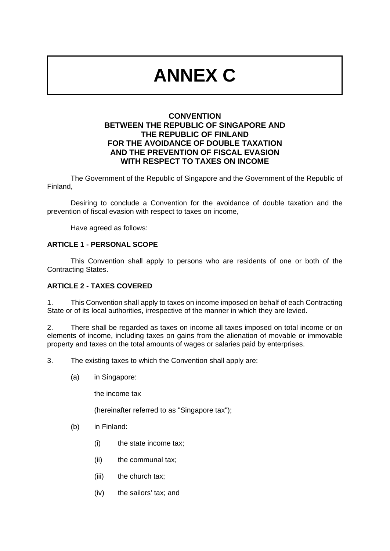# **ANNEX C**

### **CONVENTION BETWEEN THE REPUBLIC OF SINGAPORE AND THE REPUBLIC OF FINLAND FOR THE AVOIDANCE OF DOUBLE TAXATION AND THE PREVENTION OF FISCAL EVASION WITH RESPECT TO TAXES ON INCOME**

The Government of the Republic of Singapore and the Government of the Republic of Finland,

Desiring to conclude a Convention for the avoidance of double taxation and the prevention of fiscal evasion with respect to taxes on income,

Have agreed as follows:

#### **ARTICLE 1 - PERSONAL SCOPE**

This Convention shall apply to persons who are residents of one or both of the Contracting States.

#### **ARTICLE 2 - TAXES COVERED**

1. This Convention shall apply to taxes on income imposed on behalf of each Contracting State or of its local authorities, irrespective of the manner in which they are levied.

2. There shall be regarded as taxes on income all taxes imposed on total income or on elements of income, including taxes on gains from the alienation of movable or immovable property and taxes on the total amounts of wages or salaries paid by enterprises.

3. The existing taxes to which the Convention shall apply are:

(a) in Singapore:

the income tax

(hereinafter referred to as "Singapore tax");

- (b) in Finland:
	- (i) the state income tax;
	- (ii) the communal tax;
	- (iii) the church tax;
	- (iv) the sailors' tax; and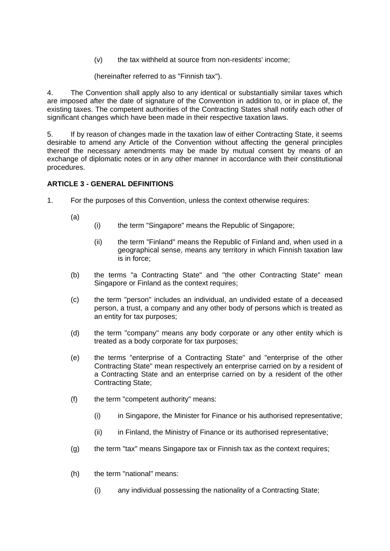(v) the tax withheld at source from non-residents' income;

(hereinafter referred to as "Finnish tax").

4. The Convention shall apply also to any identical or substantially similar taxes which are imposed after the date of signature of the Convention in addition to, or in place of, the existing taxes. The competent authorities of the Contracting States shall notify each other of significant changes which have been made in their respective taxation laws.

5. If by reason of changes made in the taxation law of either Contracting State, it seems desirable to amend any Article of the Convention without affecting the general principles thereof the necessary amendments may be made by mutual consent by means of an exchange of diplomatic notes or in any other manner in accordance with their constitutional procedures.

#### **ARTICLE 3 - GENERAL DEFINITIONS**

- 1. For the purposes of this Convention, unless the context otherwise requires:
	- (a)
		- (i) the term "Singapore" means the Republic of Singapore;
			- (ii) the term "Finland" means the Republic of Finland and, when used in a geographical sense, means any territory in which Finnish taxation law is in force;
	- (b) the terms "a Contracting State" and "the other Contracting State" mean Singapore or Finland as the context requires;
	- (c) the term "person" includes an individual, an undivided estate of a deceased person, a trust, a company and any other body of persons which is treated as an entity for tax purposes;
	- (d) the term "company" means any body corporate or any other entity which is treated as a body corporate for tax purposes;
	- (e) the terms "enterprise of a Contracting State" and "enterprise of the other Contracting State" mean respectively an enterprise carried on by a resident of a Contracting State and an enterprise carried on by a resident of the other Contracting State;
	- (f) the term "competent authority" means:
		- (i) in Singapore, the Minister for Finance or his authorised representative;
		- (ii) in Finland, the Ministry of Finance or its authorised representative;
	- (g) the term "tax" means Singapore tax or Finnish tax as the context requires;
	- (h) the term "national" means:
		- (i) any individual possessing the nationality of a Contracting State;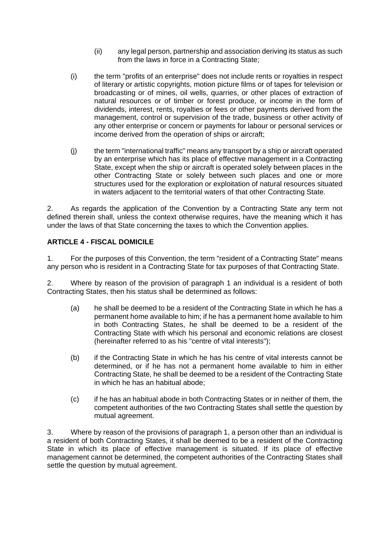- (ii) any legal person, partnership and association deriving its status as such from the laws in force in a Contracting State;
- (i) the term "profits of an enterprise" does not include rents or royalties in respect of literary or artistic copyrights, motion picture films or of tapes for television or broadcasting or of mines, oil wells, quarries, or other places of extraction of natural resources or of timber or forest produce, or income in the form of dividends, interest, rents, royalties or fees or other payments derived from the management, control or supervision of the trade, business or other activity of any other enterprise or concern or payments for labour or personal services or income derived from the operation of ships or aircraft;
- (j) the term "international traffic" means any transport by a ship or aircraft operated by an enterprise which has its place of effective management in a Contracting State, except when the ship or aircraft is operated solely between places in the other Contracting State or solely between such places and one or more structures used for the exploration or exploitation of natural resources situated in waters adjacent to the territorial waters of that other Contracting State.

2. As regards the application of the Convention by a Contracting State any term not defined therein shall, unless the context otherwise requires, have the meaning which it has under the laws of that State concerning the taxes to which the Convention applies.

## **ARTICLE 4 - FISCAL DOMICILE**

1. For the purposes of this Convention, the term "resident of a Contracting State" means any person who is resident in a Contracting State for tax purposes of that Contracting State.

2. Where by reason of the provision of paragraph 1 an individual is a resident of both Contracting States, then his status shall be determined as follows:

- (a) he shall be deemed to be a resident of the Contracting State in which he has a permanent home available to him; if he has a permanent home available to him in both Contracting States, he shall be deemed to be a resident of the Contracting State with which his personal and economic relations are closest (hereinafter referred to as his "centre of vital interests");
- (b) if the Contracting State in which he has his centre of vital interests cannot be determined, or if he has not a permanent home available to him in either Contracting State, he shall be deemed to be a resident of the Contracting State in which he has an habitual abode;
- (c) if he has an habitual abode in both Contracting States or in neither of them, the competent authorities of the two Contracting States shall settle the question by mutual agreement.

3. Where by reason of the provisions of paragraph 1, a person other than an individual is a resident of both Contracting States, it shall be deemed to be a resident of the Contracting State in which its place of effective management is situated. If its place of effective management cannot be determined, the competent authorities of the Contracting States shall settle the question by mutual agreement.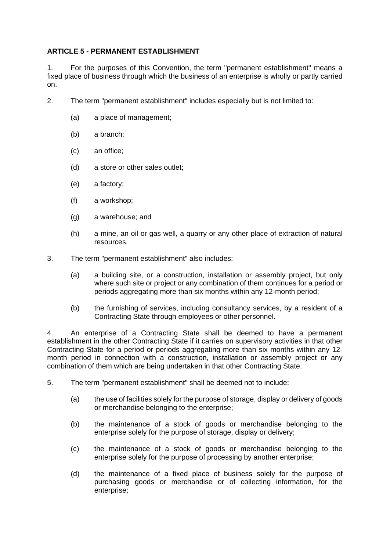#### **ARTICLE 5 - PERMANENT ESTABLISHMENT**

1. For the purposes of this Convention, the term "permanent establishment" means a fixed place of business through which the business of an enterprise is wholly or partly carried on.

- 2. The term "permanent establishment" includes especially but is not limited to:
	- (a) a place of management;
	- (b) a branch;
	- (c) an office;
	- (d) a store or other sales outlet;
	- (e) a factory;
	- (f) a workshop;
	- (g) a warehouse; and
	- (h) a mine, an oil or gas well, a quarry or any other place of extraction of natural resources.
- 3. The term "permanent establishment" also includes:
	- (a) a building site, or a construction, installation or assembly project, but only where such site or project or any combination of them continues for a period or periods aggregating more than six months within any 12-month period;
	- (b) the furnishing of services, including consultancy services, by a resident of a Contracting State through employees or other personnel.

4. An enterprise of a Contracting State shall be deemed to have a permanent establishment in the other Contracting State if it carries on supervisory activities in that other Contracting State for a period or periods aggregating more than six months within any 12 month period in connection with a construction, installation or assembly project or any combination of them which are being undertaken in that other Contracting State.

- 5. The term "permanent establishment" shall be deemed not to include:
	- (a) the use of facilities solely for the purpose of storage, display or delivery of goods or merchandise belonging to the enterprise;
	- (b) the maintenance of a stock of goods or merchandise belonging to the enterprise solely for the purpose of storage, display or delivery;
	- (c) the maintenance of a stock of goods or merchandise belonging to the enterprise solely for the purpose of processing by another enterprise;
	- (d) the maintenance of a fixed place of business solely for the purpose of purchasing goods or merchandise or of collecting information, for the enterprise;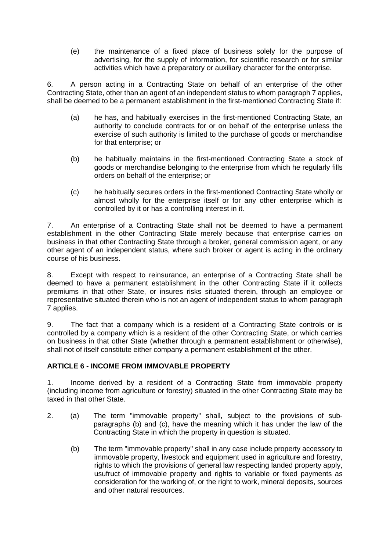(e) the maintenance of a fixed place of business solely for the purpose of advertising, for the supply of information, for scientific research or for similar activities which have a preparatory or auxiliary character for the enterprise.

6. A person acting in a Contracting State on behalf of an enterprise of the other Contracting State, other than an agent of an independent status to whom paragraph 7 applies, shall be deemed to be a permanent establishment in the first-mentioned Contracting State if:

- (a) he has, and habitually exercises in the first-mentioned Contracting State, an authority to conclude contracts for or on behalf of the enterprise unless the exercise of such authority is limited to the purchase of goods or merchandise for that enterprise; or
- (b) he habitually maintains in the first-mentioned Contracting State a stock of goods or merchandise belonging to the enterprise from which he regularly fills orders on behalf of the enterprise; or
- (c) he habitually secures orders in the first-mentioned Contracting State wholly or almost wholly for the enterprise itself or for any other enterprise which is controlled by it or has a controlling interest in it.

7. An enterprise of a Contracting State shall not be deemed to have a permanent establishment in the other Contracting State merely because that enterprise carries on business in that other Contracting State through a broker, general commission agent, or any other agent of an independent status, where such broker or agent is acting in the ordinary course of his business.

8. Except with respect to reinsurance, an enterprise of a Contracting State shall be deemed to have a permanent establishment in the other Contracting State if it collects premiums in that other State, or insures risks situated therein, through an employee or representative situated therein who is not an agent of independent status to whom paragraph 7 applies.

9. The fact that a company which is a resident of a Contracting State controls or is controlled by a company which is a resident of the other Contracting State, or which carries on business in that other State (whether through a permanent establishment or otherwise), shall not of itself constitute either company a permanent establishment of the other.

## **ARTICLE 6 - INCOME FROM IMMOVABLE PROPERTY**

1. Income derived by a resident of a Contracting State from immovable property (including income from agriculture or forestry) situated in the other Contracting State may be taxed in that other State.

- 2. (a) The term "immovable property" shall, subject to the provisions of subparagraphs (b) and (c), have the meaning which it has under the law of the Contracting State in which the property in question is situated.
	- (b) The term "immovable property" shall in any case include property accessory to immovable property, livestock and equipment used in agriculture and forestry, rights to which the provisions of general law respecting landed property apply, usufruct of immovable property and rights to variable or fixed payments as consideration for the working of, or the right to work, mineral deposits, sources and other natural resources.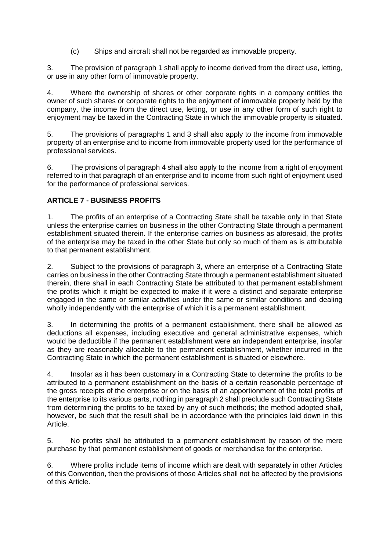(c) Ships and aircraft shall not be regarded as immovable property.

3. The provision of paragraph 1 shall apply to income derived from the direct use, letting, or use in any other form of immovable property.

4. Where the ownership of shares or other corporate rights in a company entitles the owner of such shares or corporate rights to the enjoyment of immovable property held by the company, the income from the direct use, letting, or use in any other form of such right to enjoyment may be taxed in the Contracting State in which the immovable property is situated.

5. The provisions of paragraphs 1 and 3 shall also apply to the income from immovable property of an enterprise and to income from immovable property used for the performance of professional services.

6. The provisions of paragraph 4 shall also apply to the income from a right of enjoyment referred to in that paragraph of an enterprise and to income from such right of enjoyment used for the performance of professional services.

## **ARTICLE 7 - BUSINESS PROFITS**

1. The profits of an enterprise of a Contracting State shall be taxable only in that State unless the enterprise carries on business in the other Contracting State through a permanent establishment situated therein. If the enterprise carries on business as aforesaid, the profits of the enterprise may be taxed in the other State but only so much of them as is attributable to that permanent establishment.

2. Subject to the provisions of paragraph 3, where an enterprise of a Contracting State carries on business in the other Contracting State through a permanent establishment situated therein, there shall in each Contracting State be attributed to that permanent establishment the profits which it might be expected to make if it were a distinct and separate enterprise engaged in the same or similar activities under the same or similar conditions and dealing wholly independently with the enterprise of which it is a permanent establishment.

3. In determining the profits of a permanent establishment, there shall be allowed as deductions all expenses, including executive and general administrative expenses, which would be deductible if the permanent establishment were an independent enterprise, insofar as they are reasonably allocable to the permanent establishment, whether incurred in the Contracting State in which the permanent establishment is situated or elsewhere.

4. Insofar as it has been customary in a Contracting State to determine the profits to be attributed to a permanent establishment on the basis of a certain reasonable percentage of the gross receipts of the enterprise or on the basis of an apportionment of the total profits of the enterprise to its various parts, nothing in paragraph 2 shall preclude such Contracting State from determining the profits to be taxed by any of such methods; the method adopted shall, however, be such that the result shall be in accordance with the principles laid down in this Article.

5. No profits shall be attributed to a permanent establishment by reason of the mere purchase by that permanent establishment of goods or merchandise for the enterprise.

6. Where profits include items of income which are dealt with separately in other Articles of this Convention, then the provisions of those Articles shall not be affected by the provisions of this Article.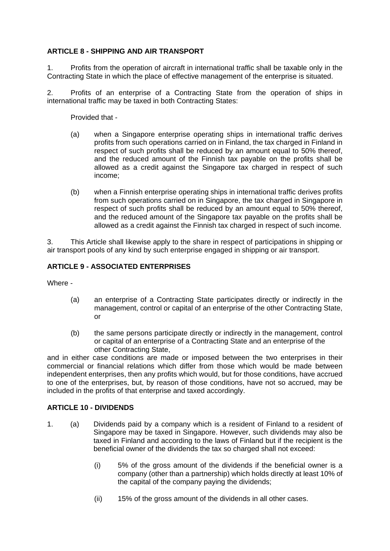#### **ARTICLE 8 - SHIPPING AND AIR TRANSPORT**

1. Profits from the operation of aircraft in international traffic shall be taxable only in the Contracting State in which the place of effective management of the enterprise is situated.

2. Profits of an enterprise of a Contracting State from the operation of ships in international traffic may be taxed in both Contracting States:

Provided that -

- (a) when a Singapore enterprise operating ships in international traffic derives profits from such operations carried on in Finland, the tax charged in Finland in respect of such profits shall be reduced by an amount equal to 50% thereof, and the reduced amount of the Finnish tax payable on the profits shall be allowed as a credit against the Singapore tax charged in respect of such income;
- (b) when a Finnish enterprise operating ships in international traffic derives profits from such operations carried on in Singapore, the tax charged in Singapore in respect of such profits shall be reduced by an amount equal to 50% thereof, and the reduced amount of the Singapore tax payable on the profits shall be allowed as a credit against the Finnish tax charged in respect of such income.

3. This Article shall likewise apply to the share in respect of participations in shipping or air transport pools of any kind by such enterprise engaged in shipping or air transport.

#### **ARTICLE 9 - ASSOCIATED ENTERPRISES**

Where -

- (a) an enterprise of a Contracting State participates directly or indirectly in the management, control or capital of an enterprise of the other Contracting State, or
- (b) the same persons participate directly or indirectly in the management, control or capital of an enterprise of a Contracting State and an enterprise of the other Contracting State,

and in either case conditions are made or imposed between the two enterprises in their commercial or financial relations which differ from those which would be made between independent enterprises, then any profits which would, but for those conditions, have accrued to one of the enterprises, but, by reason of those conditions, have not so accrued, may be included in the profits of that enterprise and taxed accordingly.

#### **ARTICLE 10 - DIVIDENDS**

- 1. (a) Dividends paid by a company which is a resident of Finland to a resident of Singapore may be taxed in Singapore. However, such dividends may also be taxed in Finland and according to the laws of Finland but if the recipient is the beneficial owner of the dividends the tax so charged shall not exceed:
	- (i) 5% of the gross amount of the dividends if the beneficial owner is a company (other than a partnership) which holds directly at least 10% of the capital of the company paying the dividends;
	- (ii) 15% of the gross amount of the dividends in all other cases.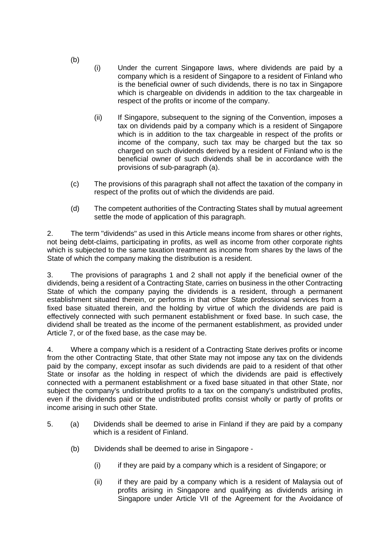- (i) Under the current Singapore laws, where dividends are paid by a company which is a resident of Singapore to a resident of Finland who is the beneficial owner of such dividends, there is no tax in Singapore which is chargeable on dividends in addition to the tax chargeable in respect of the profits or income of the company.
- (ii) If Singapore, subsequent to the signing of the Convention, imposes a tax on dividends paid by a company which is a resident of Singapore which is in addition to the tax chargeable in respect of the profits or income of the company, such tax may be charged but the tax so charged on such dividends derived by a resident of Finland who is the beneficial owner of such dividends shall be in accordance with the provisions of sub-paragraph (a).
- (c) The provisions of this paragraph shall not affect the taxation of the company in respect of the profits out of which the dividends are paid.
- (d) The competent authorities of the Contracting States shall by mutual agreement settle the mode of application of this paragraph.

2. The term "dividends" as used in this Article means income from shares or other rights, not being debt-claims, participating in profits, as well as income from other corporate rights which is subjected to the same taxation treatment as income from shares by the laws of the State of which the company making the distribution is a resident.

3. The provisions of paragraphs 1 and 2 shall not apply if the beneficial owner of the dividends, being a resident of a Contracting State, carries on business in the other Contracting State of which the company paying the dividends is a resident, through a permanent establishment situated therein, or performs in that other State professional services from a fixed base situated therein, and the holding by virtue of which the dividends are paid is effectively connected with such permanent establishment or fixed base. In such case, the dividend shall be treated as the income of the permanent establishment, as provided under Article 7, or of the fixed base, as the case may be.

4. Where a company which is a resident of a Contracting State derives profits or income from the other Contracting State, that other State may not impose any tax on the dividends paid by the company, except insofar as such dividends are paid to a resident of that other State or insofar as the holding in respect of which the dividends are paid is effectively connected with a permanent establishment or a fixed base situated in that other State, nor subject the company's undistributed profits to a tax on the company's undistributed profits, even if the dividends paid or the undistributed profits consist wholly or partly of profits or income arising in such other State.

- 5. (a) Dividends shall be deemed to arise in Finland if they are paid by a company which is a resident of Finland.
	- (b) Dividends shall be deemed to arise in Singapore
		- (i) if they are paid by a company which is a resident of Singapore; or
		- (ii) if they are paid by a company which is a resident of Malaysia out of profits arising in Singapore and qualifying as dividends arising in Singapore under Article VII of the Agreement for the Avoidance of

(b)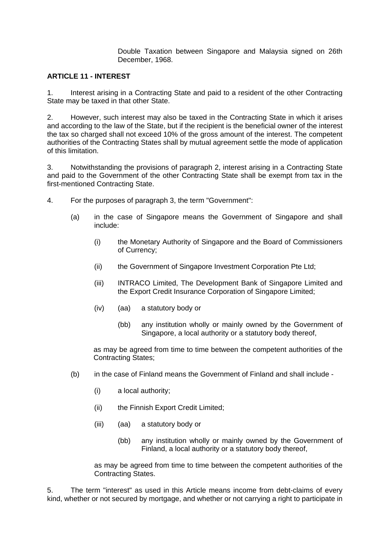Double Taxation between Singapore and Malaysia signed on 26th December, 1968.

#### **ARTICLE 11 - INTEREST**

1. Interest arising in a Contracting State and paid to a resident of the other Contracting State may be taxed in that other State.

2. However, such interest may also be taxed in the Contracting State in which it arises and according to the law of the State, but if the recipient is the beneficial owner of the interest the tax so charged shall not exceed 10% of the gross amount of the interest. The competent authorities of the Contracting States shall by mutual agreement settle the mode of application of this limitation.

3. Notwithstanding the provisions of paragraph 2, interest arising in a Contracting State and paid to the Government of the other Contracting State shall be exempt from tax in the first-mentioned Contracting State.

- 4. For the purposes of paragraph 3, the term "Government":
	- (a) in the case of Singapore means the Government of Singapore and shall include:
		- (i) the Monetary Authority of Singapore and the Board of Commissioners of Currency;
		- (ii) the Government of Singapore Investment Corporation Pte Ltd;
		- (iii) INTRACO Limited, The Development Bank of Singapore Limited and the Export Credit Insurance Corporation of Singapore Limited;
		- (iv) (aa) a statutory body or
			- (bb) any institution wholly or mainly owned by the Government of Singapore, a local authority or a statutory body thereof,

as may be agreed from time to time between the competent authorities of the Contracting States;

- (b) in the case of Finland means the Government of Finland and shall include
	- (i) a local authority;
	- (ii) the Finnish Export Credit Limited;
	- (iii) (aa) a statutory body or
		- (bb) any institution wholly or mainly owned by the Government of Finland, a local authority or a statutory body thereof,

as may be agreed from time to time between the competent authorities of the Contracting States.

5. The term "interest" as used in this Article means income from debt-claims of every kind, whether or not secured by mortgage, and whether or not carrying a right to participate in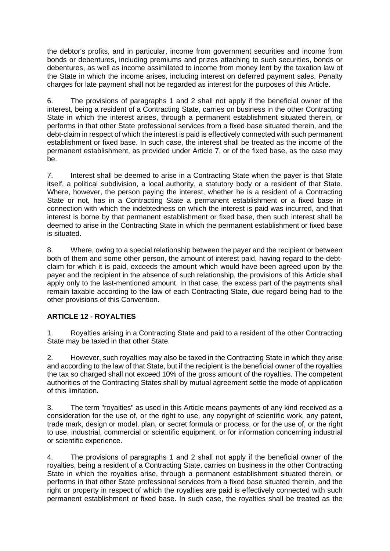the debtor's profits, and in particular, income from government securities and income from bonds or debentures, including premiums and prizes attaching to such securities, bonds or debentures, as well as income assimilated to income from money lent by the taxation law of the State in which the income arises, including interest on deferred payment sales. Penalty charges for late payment shall not be regarded as interest for the purposes of this Article.

6. The provisions of paragraphs 1 and 2 shall not apply if the beneficial owner of the interest, being a resident of a Contracting State, carries on business in the other Contracting State in which the interest arises, through a permanent establishment situated therein, or performs in that other State professional services from a fixed base situated therein, and the debt-claim in respect of which the interest is paid is effectively connected with such permanent establishment or fixed base. In such case, the interest shall be treated as the income of the permanent establishment, as provided under Article 7, or of the fixed base, as the case may be.

7. Interest shall be deemed to arise in a Contracting State when the payer is that State itself, a political subdivision, a local authority, a statutory body or a resident of that State. Where, however, the person paying the interest, whether he is a resident of a Contracting State or not, has in a Contracting State a permanent establishment or a fixed base in connection with which the indebtedness on which the interest is paid was incurred, and that interest is borne by that permanent establishment or fixed base, then such interest shall be deemed to arise in the Contracting State in which the permanent establishment or fixed base is situated.

8. Where, owing to a special relationship between the payer and the recipient or between both of them and some other person, the amount of interest paid, having regard to the debtclaim for which it is paid, exceeds the amount which would have been agreed upon by the payer and the recipient in the absence of such relationship, the provisions of this Article shall apply only to the last-mentioned amount. In that case, the excess part of the payments shall remain taxable according to the law of each Contracting State, due regard being had to the other provisions of this Convention.

## **ARTICLE 12 - ROYALTIES**

1. Royalties arising in a Contracting State and paid to a resident of the other Contracting State may be taxed in that other State.

2. However, such royalties may also be taxed in the Contracting State in which they arise and according to the law of that State, but if the recipient is the beneficial owner of the royalties the tax so charged shall not exceed 10% of the gross amount of the royalties. The competent authorities of the Contracting States shall by mutual agreement settle the mode of application of this limitation.

3. The term "royalties" as used in this Article means payments of any kind received as a consideration for the use of, or the right to use, any copyright of scientific work, any patent, trade mark, design or model, plan, or secret formula or process, or for the use of, or the right to use, industrial, commercial or scientific equipment, or for information concerning industrial or scientific experience.

4. The provisions of paragraphs 1 and 2 shall not apply if the beneficial owner of the royalties, being a resident of a Contracting State, carries on business in the other Contracting State in which the royalties arise, through a permanent establishment situated therein, or performs in that other State professional services from a fixed base situated therein, and the right or property in respect of which the royalties are paid is effectively connected with such permanent establishment or fixed base. In such case, the royalties shall be treated as the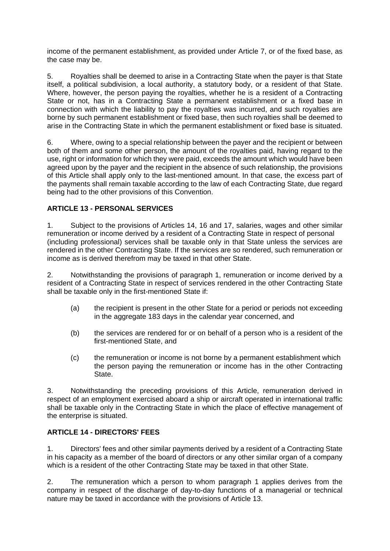income of the permanent establishment, as provided under Article 7, or of the fixed base, as the case may be.

5. Royalties shall be deemed to arise in a Contracting State when the payer is that State itself, a political subdivision, a local authority, a statutory body, or a resident of that State. Where, however, the person paying the royalties, whether he is a resident of a Contracting State or not, has in a Contracting State a permanent establishment or a fixed base in connection with which the liability to pay the royalties was incurred, and such royalties are borne by such permanent establishment or fixed base, then such royalties shall be deemed to arise in the Contracting State in which the permanent establishment or fixed base is situated.

6. Where, owing to a special relationship between the payer and the recipient or between both of them and some other person, the amount of the royalties paid, having regard to the use, right or information for which they were paid, exceeds the amount which would have been agreed upon by the payer and the recipient in the absence of such relationship, the provisions of this Article shall apply only to the last-mentioned amount. In that case, the excess part of the payments shall remain taxable according to the law of each Contracting State, due regard being had to the other provisions of this Convention.

## **ARTICLE 13 - PERSONAL SERVICES**

1. Subject to the provisions of Articles 14, 16 and 17, salaries, wages and other similar remuneration or income derived by a resident of a Contracting State in respect of personal (including professional) services shall be taxable only in that State unless the services are rendered in the other Contracting State. If the services are so rendered, such remuneration or income as is derived therefrom may be taxed in that other State.

2. Notwithstanding the provisions of paragraph 1, remuneration or income derived by a resident of a Contracting State in respect of services rendered in the other Contracting State shall be taxable only in the first-mentioned State if:

- (a) the recipient is present in the other State for a period or periods not exceeding in the aggregate 183 days in the calendar year concerned, and
- (b) the services are rendered for or on behalf of a person who is a resident of the first-mentioned State, and
- (c) the remuneration or income is not borne by a permanent establishment which the person paying the remuneration or income has in the other Contracting State.

3. Notwithstanding the preceding provisions of this Article, remuneration derived in respect of an employment exercised aboard a ship or aircraft operated in international traffic shall be taxable only in the Contracting State in which the place of effective management of the enterprise is situated.

## **ARTICLE 14 - DIRECTORS' FEES**

1. Directors' fees and other similar payments derived by a resident of a Contracting State in his capacity as a member of the board of directors or any other similar organ of a company which is a resident of the other Contracting State may be taxed in that other State.

2. The remuneration which a person to whom paragraph 1 applies derives from the company in respect of the discharge of day-to-day functions of a managerial or technical nature may be taxed in accordance with the provisions of Article 13.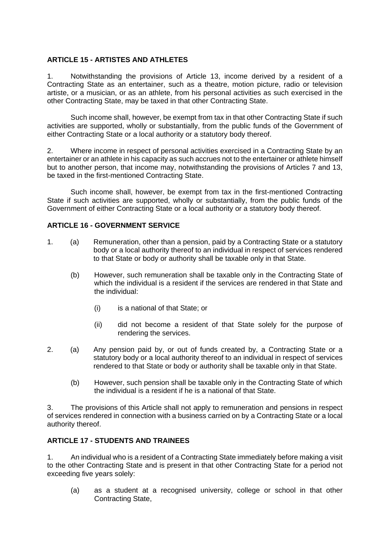### **ARTICLE 15 - ARTISTES AND ATHLETES**

1. Notwithstanding the provisions of Article 13, income derived by a resident of a Contracting State as an entertainer, such as a theatre, motion picture, radio or television artiste, or a musician, or as an athlete, from his personal activities as such exercised in the other Contracting State, may be taxed in that other Contracting State.

Such income shall, however, be exempt from tax in that other Contracting State if such activities are supported, wholly or substantially, from the public funds of the Government of either Contracting State or a local authority or a statutory body thereof.

2. Where income in respect of personal activities exercised in a Contracting State by an entertainer or an athlete in his capacity as such accrues not to the entertainer or athlete himself but to another person, that income may, notwithstanding the provisions of Articles 7 and 13, be taxed in the first-mentioned Contracting State.

Such income shall, however, be exempt from tax in the first-mentioned Contracting State if such activities are supported, wholly or substantially, from the public funds of the Government of either Contracting State or a local authority or a statutory body thereof.

#### **ARTICLE 16 - GOVERNMENT SERVICE**

- 1. (a) Remuneration, other than a pension, paid by a Contracting State or a statutory body or a local authority thereof to an individual in respect of services rendered to that State or body or authority shall be taxable only in that State.
	- (b) However, such remuneration shall be taxable only in the Contracting State of which the individual is a resident if the services are rendered in that State and the individual:
		- (i) is a national of that State; or
		- (ii) did not become a resident of that State solely for the purpose of rendering the services.
- 2. (a) Any pension paid by, or out of funds created by, a Contracting State or a statutory body or a local authority thereof to an individual in respect of services rendered to that State or body or authority shall be taxable only in that State.
	- (b) However, such pension shall be taxable only in the Contracting State of which the individual is a resident if he is a national of that State.

3. The provisions of this Article shall not apply to remuneration and pensions in respect of services rendered in connection with a business carried on by a Contracting State or a local authority thereof.

## **ARTICLE 17 - STUDENTS AND TRAINEES**

1. An individual who is a resident of a Contracting State immediately before making a visit to the other Contracting State and is present in that other Contracting State for a period not exceeding five years solely:

(a) as a student at a recognised university, college or school in that other Contracting State,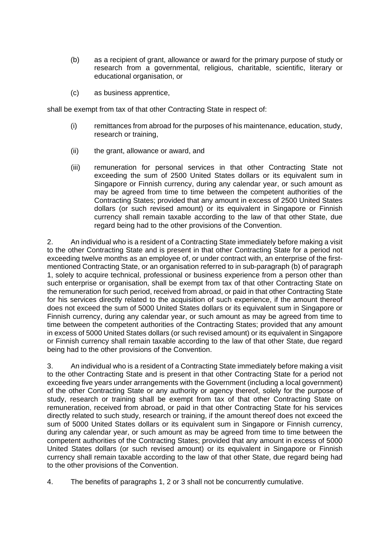- (b) as a recipient of grant, allowance or award for the primary purpose of study or research from a governmental, religious, charitable, scientific, literary or educational organisation, or
- (c) as business apprentice,

shall be exempt from tax of that other Contracting State in respect of:

- (i) remittances from abroad for the purposes of his maintenance, education, study, research or training,
- (ii) the grant, allowance or award, and
- (iii) remuneration for personal services in that other Contracting State not exceeding the sum of 2500 United States dollars or its equivalent sum in Singapore or Finnish currency, during any calendar year, or such amount as may be agreed from time to time between the competent authorities of the Contracting States; provided that any amount in excess of 2500 United States dollars (or such revised amount) or its equivalent in Singapore or Finnish currency shall remain taxable according to the law of that other State, due regard being had to the other provisions of the Convention.

2. An individual who is a resident of a Contracting State immediately before making a visit to the other Contracting State and is present in that other Contracting State for a period not exceeding twelve months as an employee of, or under contract with, an enterprise of the firstmentioned Contracting State, or an organisation referred to in sub-paragraph (b) of paragraph 1, solely to acquire technical, professional or business experience from a person other than such enterprise or organisation, shall be exempt from tax of that other Contracting State on the remuneration for such period, received from abroad, or paid in that other Contracting State for his services directly related to the acquisition of such experience, if the amount thereof does not exceed the sum of 5000 United States dollars or its equivalent sum in Singapore or Finnish currency, during any calendar year, or such amount as may be agreed from time to time between the competent authorities of the Contracting States; provided that any amount in excess of 5000 United States dollars (or such revised amount) or its equivalent in Singapore or Finnish currency shall remain taxable according to the law of that other State, due regard being had to the other provisions of the Convention.

3. An individual who is a resident of a Contracting State immediately before making a visit to the other Contracting State and is present in that other Contracting State for a period not exceeding five years under arrangements with the Government (including a local government) of the other Contracting State or any authority or agency thereof, solely for the purpose of study, research or training shall be exempt from tax of that other Contracting State on remuneration, received from abroad, or paid in that other Contracting State for his services directly related to such study, research or training, if the amount thereof does not exceed the sum of 5000 United States dollars or its equivalent sum in Singapore or Finnish currency, during any calendar year, or such amount as may be agreed from time to time between the competent authorities of the Contracting States; provided that any amount in excess of 5000 United States dollars (or such revised amount) or its equivalent in Singapore or Finnish currency shall remain taxable according to the law of that other State, due regard being had to the other provisions of the Convention.

4. The benefits of paragraphs 1, 2 or 3 shall not be concurrently cumulative.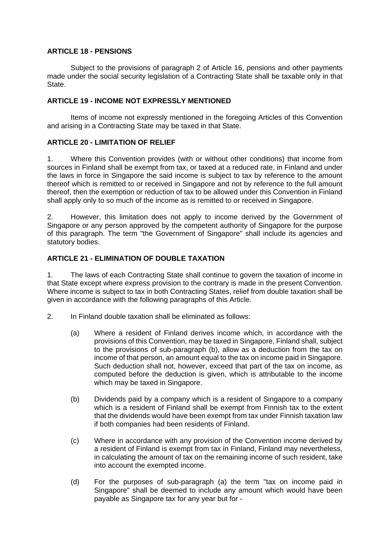#### **ARTICLE 18 - PENSIONS**

Subject to the provisions of paragraph 2 of Article 16, pensions and other payments made under the social security legislation of a Contracting State shall be taxable only in that State.

#### **ARTICLE 19 - INCOME NOT EXPRESSLY MENTIONED**

Items of income not expressly mentioned in the foregoing Articles of this Convention and arising in a Contracting State may be taxed in that State.

#### **ARTICLE 20 - LIMITATION OF RELIEF**

1. Where this Convention provides (with or without other conditions) that income from sources in Finland shall be exempt from tax, or taxed at a reduced rate, in Finland and under the laws in force in Singapore the said income is subject to tax by reference to the amount thereof which is remitted to or received in Singapore and not by reference to the full amount thereof, then the exemption or reduction of tax to be allowed under this Convention in Finland shall apply only to so much of the income as is remitted to or received in Singapore.

2. However, this limitation does not apply to income derived by the Government of Singapore or any person approved by the competent authority of Singapore for the purpose of this paragraph. The term "the Government of Singapore" shall include its agencies and statutory bodies.

#### **ARTICLE 21 - ELIMINATION OF DOUBLE TAXATION**

1. The laws of each Contracting State shall continue to govern the taxation of income in that State except where express provision to the contrary is made in the present Convention. Where income is subject to tax in both Contracting States, relief from double taxation shall be given in accordance with the following paragraphs of this Article.

- 2. In Finland double taxation shall be eliminated as follows:
	- (a) Where a resident of Finland derives income which, in accordance with the provisions of this Convention, may be taxed in Singapore, Finland shall, subject to the provisions of sub-paragraph (b), allow as a deduction from the tax on income of that person, an amount equal to the tax on income paid in Singapore. Such deduction shall not, however, exceed that part of the tax on income, as computed before the deduction is given, which is attributable to the income which may be taxed in Singapore.
	- (b) Dividends paid by a company which is a resident of Singapore to a company which is a resident of Finland shall be exempt from Finnish tax to the extent that the dividends would have been exempt from tax under Finnish taxation law if both companies had been residents of Finland.
	- (c) Where in accordance with any provision of the Convention income derived by a resident of Finland is exempt from tax in Finland, Finland may nevertheless, in calculating the amount of tax on the remaining income of such resident, take into account the exempted income.
	- (d) For the purposes of sub-paragraph (a) the term "tax on income paid in Singapore" shall be deemed to include any amount which would have been payable as Singapore tax for any year but for -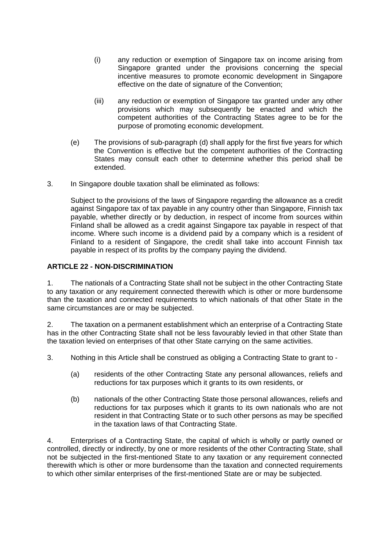- (i) any reduction or exemption of Singapore tax on income arising from Singapore granted under the provisions concerning the special incentive measures to promote economic development in Singapore effective on the date of signature of the Convention;
- (iii) any reduction or exemption of Singapore tax granted under any other provisions which may subsequently be enacted and which the competent authorities of the Contracting States agree to be for the purpose of promoting economic development.
- (e) The provisions of sub-paragraph (d) shall apply for the first five years for which the Convention is effective but the competent authorities of the Contracting States may consult each other to determine whether this period shall be extended.
- 3. In Singapore double taxation shall be eliminated as follows:

Subject to the provisions of the laws of Singapore regarding the allowance as a credit against Singapore tax of tax payable in any country other than Singapore, Finnish tax payable, whether directly or by deduction, in respect of income from sources within Finland shall be allowed as a credit against Singapore tax payable in respect of that income. Where such income is a dividend paid by a company which is a resident of Finland to a resident of Singapore, the credit shall take into account Finnish tax payable in respect of its profits by the company paying the dividend.

#### **ARTICLE 22 - NON-DISCRIMINATION**

1. The nationals of a Contracting State shall not be subject in the other Contracting State to any taxation or any requirement connected therewith which is other or more burdensome than the taxation and connected requirements to which nationals of that other State in the same circumstances are or may be subjected.

2. The taxation on a permanent establishment which an enterprise of a Contracting State has in the other Contracting State shall not be less favourably levied in that other State than the taxation levied on enterprises of that other State carrying on the same activities.

3. Nothing in this Article shall be construed as obliging a Contracting State to grant to -

- (a) residents of the other Contracting State any personal allowances, reliefs and reductions for tax purposes which it grants to its own residents, or
- (b) nationals of the other Contracting State those personal allowances, reliefs and reductions for tax purposes which it grants to its own nationals who are not resident in that Contracting State or to such other persons as may be specified in the taxation laws of that Contracting State.

4. Enterprises of a Contracting State, the capital of which is wholly or partly owned or controlled, directly or indirectly, by one or more residents of the other Contracting State, shall not be subjected in the first-mentioned State to any taxation or any requirement connected therewith which is other or more burdensome than the taxation and connected requirements to which other similar enterprises of the first-mentioned State are or may be subjected.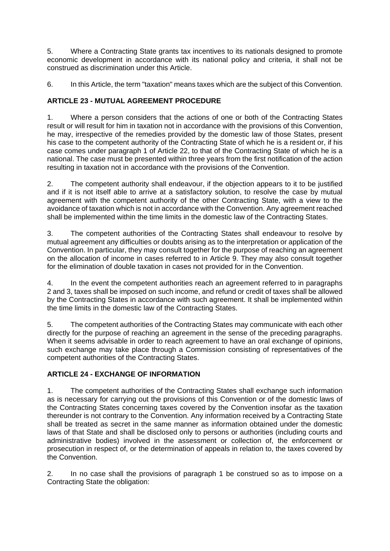5. Where a Contracting State grants tax incentives to its nationals designed to promote economic development in accordance with its national policy and criteria, it shall not be construed as discrimination under this Article.

6. In this Article, the term "taxation" means taxes which are the subject of this Convention.

## **ARTICLE 23 - MUTUAL AGREEMENT PROCEDURE**

1. Where a person considers that the actions of one or both of the Contracting States result or will result for him in taxation not in accordance with the provisions of this Convention, he may, irrespective of the remedies provided by the domestic law of those States, present his case to the competent authority of the Contracting State of which he is a resident or, if his case comes under paragraph 1 of Article 22, to that of the Contracting State of which he is a national. The case must be presented within three years from the first notification of the action resulting in taxation not in accordance with the provisions of the Convention.

2. The competent authority shall endeavour, if the objection appears to it to be justified and if it is not itself able to arrive at a satisfactory solution, to resolve the case by mutual agreement with the competent authority of the other Contracting State, with a view to the avoidance of taxation which is not in accordance with the Convention. Any agreement reached shall be implemented within the time limits in the domestic law of the Contracting States.

3. The competent authorities of the Contracting States shall endeavour to resolve by mutual agreement any difficulties or doubts arising as to the interpretation or application of the Convention. In particular, they may consult together for the purpose of reaching an agreement on the allocation of income in cases referred to in Article 9. They may also consult together for the elimination of double taxation in cases not provided for in the Convention.

4. In the event the competent authorities reach an agreement referred to in paragraphs 2 and 3, taxes shall be imposed on such income, and refund or credit of taxes shall be allowed by the Contracting States in accordance with such agreement. It shall be implemented within the time limits in the domestic law of the Contracting States.

5. The competent authorities of the Contracting States may communicate with each other directly for the purpose of reaching an agreement in the sense of the preceding paragraphs. When it seems advisable in order to reach agreement to have an oral exchange of opinions, such exchange may take place through a Commission consisting of representatives of the competent authorities of the Contracting States.

## **ARTICLE 24 - EXCHANGE OF INFORMATION**

1. The competent authorities of the Contracting States shall exchange such information as is necessary for carrying out the provisions of this Convention or of the domestic laws of the Contracting States concerning taxes covered by the Convention insofar as the taxation thereunder is not contrary to the Convention. Any information received by a Contracting State shall be treated as secret in the same manner as information obtained under the domestic laws of that State and shall be disclosed only to persons or authorities (including courts and administrative bodies) involved in the assessment or collection of, the enforcement or prosecution in respect of, or the determination of appeals in relation to, the taxes covered by the Convention.

2. In no case shall the provisions of paragraph 1 be construed so as to impose on a Contracting State the obligation: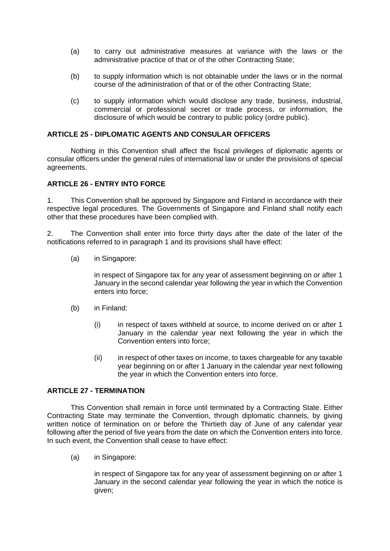- (a) to carry out administrative measures at variance with the laws or the administrative practice of that or of the other Contracting State;
- (b) to supply information which is not obtainable under the laws or in the normal course of the administration of that or of the other Contracting State;
- (c) to supply information which would disclose any trade, business, industrial, commercial or professional secret or trade process, or information, the disclosure of which would be contrary to public policy (ordre public).

#### **ARTICLE 25 - DIPLOMATIC AGENTS AND CONSULAR OFFICERS**

Nothing in this Convention shall affect the fiscal privileges of diplomatic agents or consular officers under the general rules of international law or under the provisions of special agreements.

#### **ARTICLE 26 - ENTRY INTO FORCE**

1. This Convention shall be approved by Singapore and Finland in accordance with their respective legal procedures. The Governments of Singapore and Finland shall notify each other that these procedures have been complied with.

2. The Convention shall enter into force thirty days after the date of the later of the notifications referred to in paragraph 1 and its provisions shall have effect:

(a) in Singapore:

in respect of Singapore tax for any year of assessment beginning on or after 1 January in the second calendar year following the year in which the Convention enters into force;

- (b) in Finland:
	- (i) in respect of taxes withheld at source, to income derived on or after 1 January in the calendar year next following the year in which the Convention enters into force;
	- (ii) in respect of other taxes on income, to taxes chargeable for any taxable year beginning on or after 1 January in the calendar year next following the year in which the Convention enters into force.

#### **ARTICLE 27 - TERMINATION**

This Convention shall remain in force until terminated by a Contracting State. Either Contracting State may terminate the Convention, through diplomatic channels, by giving written notice of termination on or before the Thirtieth day of June of any calendar year following after the period of five years from the date on which the Convention enters into force. In such event, the Convention shall cease to have effect:

(a) in Singapore:

in respect of Singapore tax for any year of assessment beginning on or after 1 January in the second calendar year following the year in which the notice is given;